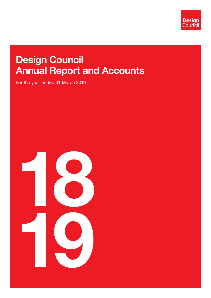

# Design Council Annual Report and Accounts

For the year ended 31 March 2019

18 19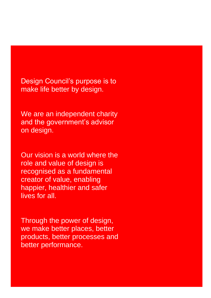Design Council's purpose is to make life better by design.

We are an independent charity and the government's advisor on design.

Our vision is a world where the role and value of design is recognised as a fundamental creator of value, enabling happier, healthier and safer lives for all.

Through the power of design, we make better places, better products, better processes and better performance.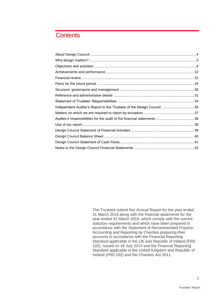## **Contents**

| Independent Auditor's Report to the Trustees of the Design Council  36 |  |
|------------------------------------------------------------------------|--|
|                                                                        |  |
|                                                                        |  |
|                                                                        |  |
|                                                                        |  |
|                                                                        |  |
|                                                                        |  |
|                                                                        |  |

The Trustees submit this Annual Report for the year ended 31 March 2019 along with the financial statements for the year ended 31 March 2019, which comply with the current statutory requirements and which have been prepared in accordance with the Statement of Recommended Practice: Accounting and Reporting by Charities preparing their accounts in accordance with the Financial Reporting Standard applicable in the UK and Republic of Ireland (FRS 102), issued on 16 July 2014 and the Financial Reporting Standard applicable in the United Kingdom and Republic of Ireland (FRS 102) and the Charities Act 2011.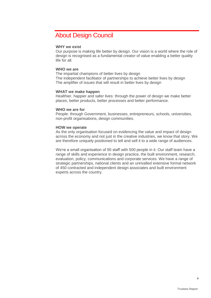## <span id="page-3-0"></span>About Design Council

#### **WHY we exist**

Our purpose is making life better by design. Our vision is a world where the role of design is recognised as a fundamental creator of value enabling a better quality life for all.

#### **WHO we are**

The impartial champions of better lives by design The independent facilitator of partnerships to achieve better lives by design The amplifier of issues that will result in better lives by design

#### **WHAT we make happen**

Healthier, happier and safer lives: through the power of design we make better places, better products, better processes and better performance.

#### **WHO we are for**

People: through Government, businesses, entrepreneurs, schools, universities, non-profit organisations, design communities.

#### **HOW we operate**

As the only organisation focused on evidencing the value and impact of design across the economy and not just in the creative industries, we know that story. We are therefore uniquely positioned to tell and sell it to a wide range of audiences.

We're a small organisation of 50 staff with 500 people in it. Our staff team have a range of skills and experience in design practice, the built environment, research, evaluation, policy, communications and corporate services. We have a range of strategic partnerships, national clients and an unrivalled extensive formal network of 450 contracted and independent design associates and built environment experts across the country.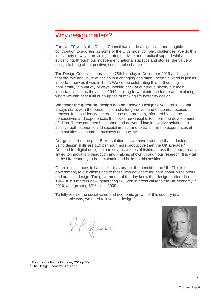## <span id="page-4-0"></span>Why design matters?

For over 70 years, the Design Council has made a significant and tangible contribution to addressing some of the UK's most complex challenges. We do this in a variety of ways: providing strategic advice and practical support whilst evidencing, through our independent national statistics and stories, the value of design to bring about positive, sustainable change.

The Design Council celebrates its 75th birthday in December 2019 and it is clear that the role and value of design in a changing and often uncertain world is just as important now as it was in 1944. We will be celebrating this forthcoming anniversary in a variety of ways: looking back at our proud history but most importantly, just as they did in 1944, looking forward into the future and exploring where we can best fulfil our purpose of making life better by design.

**Whatever the question, design has an answer**. Design solves problems and always starts with the person. It is a challenge-driven and outcomes-focused process. It helps identify the root cause of a problem, informed by diverse perspectives and experiences. It unlocks new insights to inform the development of ideas. These can then be shaped and delivered into innovative solutions to achieve both economic and societal impact and to transform the experiences of communities, consumers, business and society.

Design is part of the post-Brexit solution, as we have evidence that industries using design skills are £10 per hour more productive than the UK average.<sup>1</sup> Demand for digital design in particular is well established across the globe, clearly linked to innovation, disruption and R&D as shown through our research. It is vital to the UK economy to both maintain and build on this position.

Our role is to know, tell and sell this story, for the benefit of the UK. This is to government, to our clients and to those who advocate for, care about, write about and practice design. The government of the day knew that design mattered in 1944. It still matters now, generating £85.2bn in gross value to the UK economy in 2016, and growing 52% since 2009.

To fully realise the social value and economic growth of this country in a sustainable way, we need to invest in design.<sup>2</sup>

I.P. Amer.



<sup>1</sup> Designing a Future Economy 2017 p.8/9

<sup>2</sup> The Design Economy 2018 p.11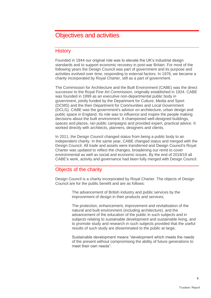## <span id="page-5-0"></span>Objectives and activities

## **History**

Founded in 1944 our original role was to elevate the UK's industrial design standards and to support economic recovery in post-war Britain. For most of the following years the Design Council was part of government and its purpose and activities evolved over time, responding to external factors. In 1976, we became a charity incorporated by Royal Charter, still as a part of government.

The Commission for Architecture and the Built Environment (CABE) was the direct successor to the Royal Fine Art Commission, originally established in 1924. CABE was founded in 1999 as an executive [non-departmental public body](https://en.wikipedia.org/wiki/Non-departmental_public_body) in government, jointly funded by the [Department for Culture, Media and Sport](https://en.wikipedia.org/wiki/Department_for_Culture,_Media_and_Sport) (DCMS) and the then [Department for Communities and Local Government](https://en.wikipedia.org/wiki/Department_for_Communities_and_Local_Government) (DCLG). CABE was the government's advisor on architecture, urban design and public space in England. Its role was to influence and inspire the people making decisions about the built environment. It championed well-designed buildings, spaces and places, ran public campaigns and provided expert, practical advice. It worked directly with architects, planners, designers and clients.

In 2011, the Design Council changed status from being a public body to an independent charity. In the same year, CABE changed status and merged with the Design Council. All trade and assets were transferred and Design Council's Royal Charter was updated to reflect the changes, broadening our remit to cover environmental as well as social and economic issues. By the end of 2018/19 all CABE's work, activity and governance had been fully merged with Design Council.

## Objects of the charity

Design Council is a charity incorporated by Royal Charter. The objects of Design Council are for the public benefit and are as follows:

> The advancement of British industry and public services by the improvement of design in their products and services;

The protection, enhancement, improvement and revitalisation of the natural and built environment (including architecture), and the advancement of the education of the public in such subjects and in subjects relating to sustainable development and sustainable living, and to promote study and research in such subjects provided that the useful results of such study are disseminated to the public at large;

Sustainable development means "development which meets the needs of the present without compromising the ability of future generations to meet their own needs".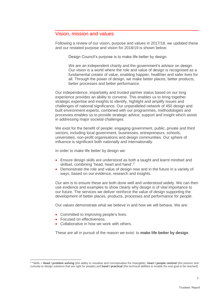## Vision, mission and values

Following a review of our vision, purpose and values in 2017/18, we updated these and our restated purpose and vision for 2018/19 is shown below:

Design Council's purpose is to make life better by design.

We are an independent charity and the government's advisor on design. Our vision is a world where the role and value of design is recognised as a fundamental creator of value, enabling happier, healthier and safer lives for all. Through the power of design, we make better places, better products, better processes and better performance.

Our independence, impartiality and trusted partner status based on our long experience provides an ability to convene. This enables us to bring together strategic expertise and insights to identify, highlight and amplify issues and challenges of national significance. Our unparalleled network of 450 design and built environment experts, combined with our programmes, methodologies and processes enables us to provide strategic advice, support and insight which assist in addressing major societal challenges.

We exist for the benefit of people; engaging government, public, private and third sectors, including local government, businesses, entrepreneurs, schools, universities, non-profit organisations and design communities. Our sphere of influence is significant both nationally and internationally.

In order to make life better by design we:

- Ensure design skills are understood as both a taught and learnt mindset and skillset, combining 'head, heart and hand'.<sup>3</sup>
- Demonstrate the role and value of design now and in the future in a variety of ways, based on our evidence, research and insights.

Our aim is to ensure these are both done well and understood widely. We can then use evidence and examples to show clearly why design is of vital importance to our future. The services we deliver reinforce the value of design supporting the development of better places, products, processes and performance for people.

Our values demonstrate what we believe in and how we will behave. We are:

- Committed to improving people's lives.
- Focused on effectiveness.
- Collaborative in how we work with others.

These are all in pursuit of the reason we exist: to **make life better by design**.

<sup>3</sup> \*Skills = **Head / problem solving** (the ability to visualise and conceptualise the intangible), **heart / people centred** (the passion and curiosity to design solutions that are right for people) and **hand / practical** (the technical abilities to enable the end goal to be reached).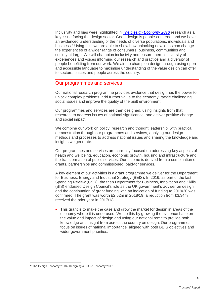Inclusivity and bias were highlighted in *[The Design Economy 2018](https://www.designcouncil.org.uk/what-we-do/research/design-economy?src=home)* research as a key issue facing the design sector. Good design is people-centered, and we have an evidenced understanding of the needs of diverse populations, individuals and business. <sup>4</sup> Using this, we are able to show how unlocking new ideas can change the experiences of a wider range of consumers, business, communities and society at large. We will champion inclusivity and ensure there is diversity of experiences and voices informing our research and practice and a diversity of people benefitting from our work. We aim to champion design through using open and accessible language to maximise understanding of the value design can offer to sectors, places and people across the country.

#### Our programmes and services

Our national research programme provides evidence that design has the power to unlock complex problems, add further value to the economy, tackle challenging social issues and improve the quality of the built environment.

Our programmes and services are then designed, using insights from that research, to address issues of national significance, and deliver positive change and social impact.

We combine our work on policy, research and thought leadership, with practical demonstration through our programmes and services, applying our design methods and processes to address national issues and sharing the knowledge and insights we generate.

Our programmes and services are currently focused on addressing key aspects of health and wellbeing, education, economic growth, housing and infrastructure and the transformation of public services. Our income is derived from a combination of grants, partnerships and commissioned, paid-for services.

A key element of our activities is a grant programme we deliver for the Department for Business, Energy and Industrial Strategy (BEIS). In 2016, as part of the last Spending Review (CSR), the then Department for Business, Innovation and Skills (BIS) endorsed Design Council's role as the UK government's adviser on design and the continuation of grant funding with an indication of funding to 2019/20 was confirmed. The grant was worth £2.52m in 2018/19, a reduction from £3.34m received the prior year in 2017/18.

This grant is to make the case and grow the market for design in areas of the economy where it is underused. We do this by growing the evidence base on the value and impact of design and using our national remit to provide both knowledge and insight from across the country on design. Our programmes focus on issues of national importance, aligned with both BEIS objectives and wider government priorities.

<sup>4</sup> The Design Economy 2018 / Designing a Future Economy 2017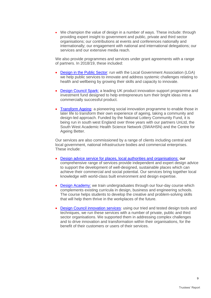• We champion the value of design in a number of ways. These include: through providing expert insight to government and public, private and third sector organisations; our contributions at events and conferences nationally and internationally; our engagement with national and international delegations; our services and our extensive media reach.

We also provide programmes and services under grant agreements with a range of partners. In 2018/19, these included:

- [Design in the Public Sector:](https://www.designcouncil.org.uk/what-we-do/design-support/design-public-sector) run with the Local Government Association (LGA) we help public services to innovate and address systemic challenges relating to health and wellbeing by growing their skills and capacity to innovate.
- [Design Council Spark:](https://www.designcouncil.org.uk/what-we-do/accelerator/design-council-spark) a leading UK product innovation support programme and investment fund designed to help entrepreneurs turn their bright ideas into a commercially successful product.
- [Transform Ageing:](https://www.designcouncil.org.uk/what-we-do/social-innovation/transform-ageing) a pioneering social innovation programme to enable those in later life to transform their own experience of ageing, taking a community and design-led approach. Funded by the National Lottery Community Fund, it is being run in south west England over three years with our partners UnLtd, the South West Academic Health Science Network (SWAHSN) and the Centre for Ageing Better.

Our services are also commissioned by a range of clients including central and local government, national infrastructure bodies and commercial enterprises. These include:

- [Design advice service for places, local authorities and organisations:](https://www.designcouncil.org.uk/what-we-do/built-environment) our comprehensive range of services provide independent and expert design advice to support the development of well-designed, sustainable places which can achieve their commercial and social potential. Our services bring together local knowledge with world-class built environment and design expertise.
- [Design Academy:](https://www.designcouncil.org.uk/what-we-do/design-training-and-education/design-academy) we train undergraduates through our four-day course which complements existing curricula in design, business and engineering schools. The course helps students to develop the creative and problem-solving skills that will help them thrive in the workplaces of the future.
- [Design Council innovation services:](https://www.designcouncil.org.uk/what-we-do/design-support/bespoke-design-support) using our tried and tested design tools and techniques, we run these services with a number of private, public and third sector organisations. We supported them in addressing complex challenges and to drive innovation and transformation within their organisations, for the benefit of their customers or users of their services.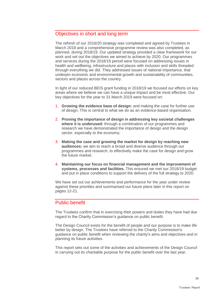## Objectives in short and long term

The refresh of our 2016/20 strategy was completed and agreed by Trustees in March 2018 and a comprehensive programme review was also completed, as planned, during 2018/19. Our updated strategy provided a clear framework for our work and set out the objectives we aimed to achieve by 2020. Our programmes and services during the 2018/19 period were focused on addressing issues in health and wellbeing, infrastructure and places with inclusion and skills threaded through everything we did. They addressed issues of national importance, that underpin economic and environmental growth and sustainability of communities, sectors and places across the country.

In light of our reduced BEIS grant funding in 2018/19 we focused our efforts on key areas where we believe we can have a unique impact and be most effective. Our key objectives for the year to 31 March 2019 were focused on:

- 1. **Growing the evidence base of design:** and making the case for further use of design. This is central to what we do as an evidence-based organisation.
- 2. **Proving the importance of design in addressing key societal challenges where it is underused:** through a combination of our programmes and research we have demonstrated the importance of design and the design sector, especially to the economy.
- 3. **Making the case and growing the market for design by reaching new audiences:** we aim to reach a broad and diverse audience through our programmes and research, to effectively make the case for design and grow the future market.
- 4. **Maintaining our focus on financial management and the improvement of systems, processes and facilities.** This ensured we met our 2018/19 budget and put in place conditions to support the delivery of the full strategy to 2020.

We have set out our achievements and performance for the year under review against these priorities and summarised our future plans later in this report on pages 12-21.

## Public benefit

The Trustees confirm that in exercising their powers and duties they have had due regard to the Charity Commission's guidance on public benefit.

The Design Council exists for the benefit of people and our purpose is to make life better by design. The Trustees have referred to the Charity Commission's guidance on public benefit when reviewing the charity's aims and objectives and in planning its future activities.

This report sets out some of the activities and achievements of the Design Council in carrying out its charitable purpose for the public benefit over the last year.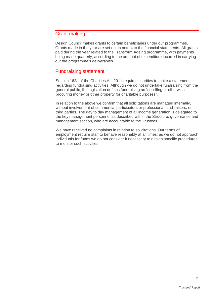## Grant making

Design Council makes grants to certain beneficiaries under our programmes. Grants made in the year are set out in note 4 to the financial statements. All grants paid during the year related to the Transform Ageing programme, with payments being made quarterly, according to the amount of expenditure incurred in carrying out the programme's deliverables.

## Fundraising statement

Section 162a of the Charities Act 2011 requires charities to make a statement regarding fundraising activities. Although we do not undertake fundraising from the general public, the legislation defines fundraising as "soliciting or otherwise procuring money or other property for charitable purposes".

In relation to the above we confirm that all solicitations are managed internally, without involvement of commercial participators or professional fund-raisers, or third parties. The day to day management of all income generation is delegated to the key management personnel as described within the Structure, governance and management section, who are accountable to the Trustees.

We have received no complaints in relation to solicitations. Our terms of employment require staff to behave reasonably at all times; as we do not approach individuals for funds we do not consider it necessary to design specific procedures to monitor such activities.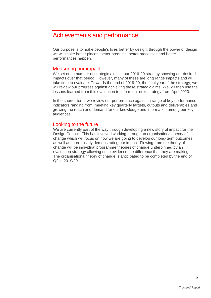## <span id="page-11-0"></span>Achievements and performance

Our purpose is to make people's lives better by design: through the power of design we will make better places, better products, better processes and better performances happen.

### Measuring our impact

We set out a number of strategic aims in our 2016-20 strategy showing our desired impacts over that period. However, many of these are long range impacts and will take time to evaluate. Towards the end of 2019-20, the final year of the strategy, we will review our progress against achieving these strategic aims. We will then use the lessons learned from this evaluation to inform our next strategy from April 2020.

In the shorter term, we review our performance against a range of key performance indicators ranging from: meeting key quarterly targets, outputs and deliverables and growing the reach and demand for our knowledge and information among our key audiences.

### Looking to the future

We are currently part of the way through developing a new story of impact for the Design Council. This has involved working through an organisational theory of change which will focus on how we are going to develop our long-term outcomes, as well as more clearly demonstrating our impact. Flowing from the theory of change will be individual programme theories of change underpinned by an evaluation strategy allowing us to evidence the difference that they are making. The organisational theory of change is anticipated to be completed by the end of Q2 in 2019/20.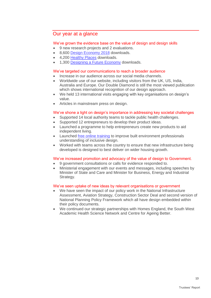## Our year at a glance

#### We've grown the evidence base on the value of design and design skills

- 9 new research projects and 2 evaluations.
- 8,600 [Design Economy 2018](https://www.designcouncil.org.uk/what-we-do/research/design-economy) downloads.
- 4,200 [Healthy Places](https://www.designcouncil.org.uk/what-we-do/built-environment/creating-healthy-places) downloads.
- 1,300 [Designing a Future Economy](https://www.designcouncil.org.uk/what-we-do/research/designing-future-economy) downloads.

#### We've targeted our communications to reach a broader audience

- Increase in our audience across our social media channels.
- Worldwide use of our website, including visitors from the UK, US, India, Australia and Europe. Our Double Diamond is still the most viewed publication which shows international recognition of our design approach.
- We held 13 international visits engaging with key organisations on design's value.
- Articles in mainstream press on design.

#### We've shone a light on design's importance in addressing key societal challenges

- Supported 14 local authority teams to tackle public health challenges.
- Supported 12 entrepreneurs to develop their product ideas.
- Launched a programme to help entrepreneurs create new products to aid independent living.
- Launched [free online training](https://www.designcouncil.org.uk/what-we-do/built-environment/inclusive-environments) to improve built environment professionals understanding of inclusive design.
- Worked with teams across the country to ensure that new infrastructure being developed is designed to best deliver on wider housing growth.

#### We've increased promotion and advocacy of the value of design to Government.

- 9 government consultations or calls for evidence responded to.
- Ministerial engagement with our events and messages, including speeches by Minister of State and Care and Minister for Business, Energy and Industrial Strategy.

#### We've seen uptake of new ideas by relevant organisations or government

- We have seen the impact of our policy work in the National Infrastructure Assessment, Aviation Strategy, Construction Sector Deal and second version of National Planning Policy Framework which all have design embedded within their policy documents.
- We continued our strategic partnerships with Homes England, the South West Academic Health Science Network and Centre for Ageing Better.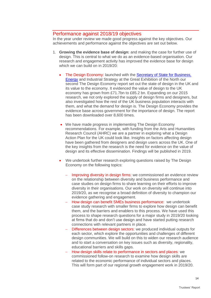### Performance against 2018/19 objectives

In the year under review we made good progress against the key objectives. Our achievements and performance against the objectives are set out below.

- 1. **Growing the evidence base of design:** and making the case for further use of design. This is central to what we do as an evidence-based organisation. Our research and engagement activity has improved the evidence base for design which we can build on in 2019/20:
	- The Design Economy: launched with the Secretary of State for Business, [Energy](https://www.designcouncil.org.uk/news-opinion/design-council-launches-design-economy-2018-northern-powerhouse-summit) and Industrial Strategy at the Great Exhibition of the North our second [The Design Economy](https://www.designcouncil.org.uk/resources/report/design-economy-2018) report set out the state of design in the UK and its value to the economy. It evidenced the value of design to the UK economy has grown from £71.7bn to £85.2 bn. Expanding on our 2015 research, we not only explored the supply of design firms and designers, but also investigated how the rest of the UK business population interacts with them, and what the demand for design is. The Design Economy provides the evidence base across government for the importance of design. The report has been downloaded over 8,600 times.
	- We have made progress in implementing The Design Economy recommendations. For example, with funding from the Arts and Humanities Research Council (AHRC) we are a partner in exploring what a Design Action Plan for the UK could look like. Insights on factors affecting design have been gathered from designers and design users across the UK. One of the key insights from the research is the need for evidence on the value of design and its effective dissemination. Findings will be published in 2019.
	- We undertook further research exploring questions raised by The Design Economy on the following topics:
		- Improving diversity in design firms: we commissioned an evidence review on the relationship between diversity and business performance and case studies on design firms to share learning on their efforts to improve diversity in their organisations. Our work on diversity will continue into 2019/20, as we recognise a broad definition of diversity to champion our evidence gathering and engagement.
		- − How design can benefit SMEs business performance:we undertook case study research with smaller firms to explore how design can benefit them, and the barriers and enablers to this process. We have used this process to shape research questions for a major study in 2019/20 looking at firms that do and don't use design and have started putting research connections with relevant partners in place.
		- Differences between design sectors: we produced individual outputs for each sector, which explore the opportunities and challenges of different design communities. We will build on this to widen our research audience and to start a conversation on key issues such as diversity, regionality, educational barriers and skills gaps.
		- How design skills relate to performance in sectors and places: we commissioned follow-on research to examine how design skills are related to the economic performance of individual sectors and places. This will form part of our regional growth engagement work in 2019/20.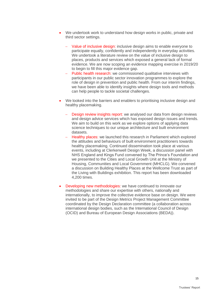- We undertook work to understand how design works in public, private and third sector settings.
	- − Value of inclusive design: inclusive design aims to enable everyone to participate equally, confidently and independently in everyday activities. We undertook a literature review on the value of inclusive design to places, products and services which exposed a general lack of formal evidence. We are now scoping an evidence mapping exercise in 2019/20 to begin to fill this major evidence gap.
	- Public health research: we commissioned qualitative interviews with participants in our public sector innovation programmes to explore the role of design in prevention and public health. From our interim findings, we have been able to identify insights where design tools and methods can help people to tackle societal challenges.
- We looked into the barriers and enablers to prioritising inclusive design and healthy placemaking.
	- Design review insights report: we analysed our data from design reviews and design advice services which has exposed design issues and trends. We aim to build on this work as we explore options of applying data science techniques to our unique architecture and built environment datasets.
	- Healthy places: we launched this research in Parliament which explored the attitudes and behaviours of built environment practitioners towards healthy placemaking. Continued dissemination took place at various events, including at Clerkenwell Design Week, a discussion panel with NHS England and Kings Fund convened by The Prince's Foundation and we presented to the Cities and Local Growth Unit at the Ministry of Housing, Communities and Local Government (MHCLG). We convened a discussion on Building Healthy Places at the Wellcome Trust as part of the Living with Buildings exhibition. This report has been downloaded 4,200 times.
- Developing new methodologies: we have continued to innovate our methodologies and share our expertise with others, nationally and internationally, to improve the collective evidence base on design. We were invited to be part of the Design Metrics Project Management Committee coordinated by the Design Declaration committee (a collaboration across international design bodies, such as the International Council of Design (OCID) and Bureau of European Design Associations (BEDA)).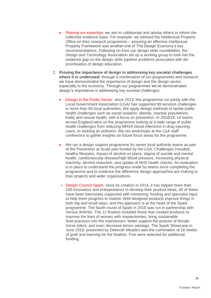- Sharing our expertise**:** we aim to collaborate and advise others to inform the collective evidence base. For example, we advised the Intellectual Property Office on their research programme – ensuring an effective Intellectual Property Framework was another one of The Design Economy's key recommendations. Following on from our design skills roundtables, the Design and Technology Association set up a working group to look into the evidence gap on the design skills pipeline problems associated with deprioritisation of design education.
- 2. **Proving the importance of design in addressing key societal challenges where it is underused:** through a combination of our programmes and research we have demonstrated the importance of design and the design sector. especially to the economy. Through our programmes we've demonstrated design's importance in addressing key societal challenges:
	- Design in the Public Sector: since 2013, this programme run jointly with the Local Government Association (LGA) has supported 89 services challenges in more than 60 local authorities. We apply design methods to tackle public health challenges such as social isolation, obesity, inactive populations, frailty and sexual health, with a focus on prevention. In 2018/19, 14 teams across England went on the programme looking at a wide range of public health challenges from reducing MRSA blood infections in drug injecting users, to tackling air pollution. We ran workshops at the LGA staff conference to gather insights on future focus areas for the programme.
	- We ran a design support programme for seven local authority teams as part of the Prevention at Scale pilot funded by the LGA. Challenges included: healthy lifestyles, impact of alcohol on place, stigma of suicide and mental health, cardiovascular disease/high blood pressure, increasing physical inactivity, alcohol reduction, and uptake of NHS health checks. An evaluation is in place to understand the progress made by teams since completing the programme and to evidence the difference design approaches are making to their projects and wider organisations.
	- **Design Council Spark:** since its creation in 2014, it has helped more than 100 innovators and entrepreneurs to develop their product ideas, 45 of these have been intensively supported with mentoring, funding and specialist input to help them progress to market. Well-designed products improve things in both big and small ways, and this approach is at the heart of the Spark programme. The fourth round of Spark in 2018 was run in partnership with Versus Arthritis. The 12 finalists included those that created products to: improve the lives of women with mastectomies; bring sustainable food practices into the mainstream; better support the posture of female horse riders; and even decrease lemon wastage. The Spark Showcase in June 2018, presented by Deborah Meaden was the culmination of 16 weeks of graft and learning for the finalists. Five were selected for additional funding.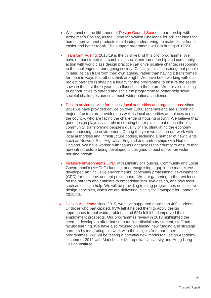- We launched the fifth round of Design Council Spark, in partnership with Alzheimer's Society, as the Home Innovation Challenge for brilliant ideas for home improvement products to aid independent living, to make life at home easier and better for all. The support programme will run during 2019/20.
- Transform Ageing: 2018/19 is the third year of this pilot programme. We have demonstrated that combining social entrepreneurship and community action with world class design practice can drive positive change, responding to the challenges of our ageing society. Critically, this is ensuring that people in later life can transform their own ageing, rather than having it transformed for them in ways that others think are right. We have been working with our project partners in shaping a legacy for the programme to ensure the seeds sown in the first three years can flourish into the future. We are also looking at opportunities to spread and scale the programme to better help solve societal challenges across a much wider national audience.
- [Design advice service for places, local authorities](http://www.designcouncil.org.uk/our-services/built-environment-cabe) and organisations: since 2011 we have provided advice on over 1,000 schemes and are supporting major infrastructure providers, as well as local authorities and places across the country, who are facing the challenge of housing growth. We believe that good design plays a vital role in creating better places that enrich the local community, transforming people's quality of life, stimulating the economy and enhancing the environment. During the year we built on our work with local authorities and infrastructure bodies, including a number of new clients such as Network Rail, Highways England and partnerships with Homes England. We have worked with teams right across the country to ensure that new infrastructure being developed is designed to best deliver on wider housing growth.
- Inclusive environments CPD: with Ministry of Housing, Community and Local Government's (MHCLG) funding, and recognising a gap in the market, we developed an "inclusive environments" continuing professional development (CPD) for built environment practitioners. We are gathering further evidence on the barriers and enablers to embedding inclusive design, and how tools such as this can help. We will be providing training programmes on inclusive design principles, which we are delivering initially for Transport for London in 2019/20.
- **[Design Academy:](https://www.designcouncil.org.uk/what-we-do/design-training-and-education/design-academy)** since 2015, we have supported more than 400 students. Of those who participated, 93% felt it helped them to apply design approaches to real world problems and 62% felt it had improved their employment prospects. Our programmes review in 2018 highlighted the need to develop an offer that supports interdisciplinary student, staff and faculty learning. We have also focused on finding new funding and strategic partners by integrating this work with the insights from our other programmes. We will be testing a potential new model for Design Academy in summer 2019 with Manchester Metropolitan University and Hong Kong Design Institute.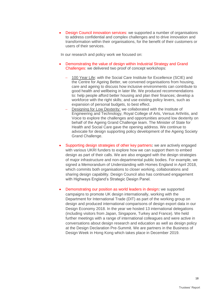• Design Council innovation services: we supported a number of organisations to address confidential and complex challenges and to drive innovation and transformation within their organisations, for the benefit of their customers or users of their services.

In our research and policy work we focused on:

- Demonstrating the value of design within Industrial Strategy and Grand Challenges: we delivered two proof of concept workshops:
	- − 100 Year Life: with the Social Care Institute for Excellence (SCIE) and the Centre for Ageing Better, we convened organisations from housing, care and ageing to discuss how inclusive environments can contribute to good health and wellbeing in later life. We produced recommendations to: help people afford better housing and plan their finances; develop a workforce with the right skills; and use existing policy levers, such as expansion of personal budgets, to best effect.
	- Designing for Low Dexterity: we collaborated with the Institute of Engineering and Technology, Royal College of Arts, Versus Arthritis, and Voice to explore the challenges and opportunities around low dexterity on behalf of the Ageing Grand Challenge team. The Minister of State for Health and Social Care gave the opening address. We continue to advocate for design supporting policy development of the Ageing Society Grand Challenge.
- Supporting design strategies of other key partners**:** we are actively engaged with various UKRI funders to explore how we can support them to embed design as part of their calls. We are also engaged with the design strategies of major infrastructure and non-departmental public bodies. For example, we signed a Memorandum of Understanding with Homes England in April 2018, which commits both organisations to closer working, collaborations and sharing design capability. Design Council also has continued engagement with Highways England's Strategic Design Panel.
- Demonstrating our position as world leaders in design**:** we supported campaigns to promote UK design internationally, working with the Department for International Trade (DIT) as part of the working group on design and produced international comparisons of design export data in our Design Economy 2018. In the year we hosted 13 international delegations (including visitors from Japan, Singapore, Turkey and France). We held further meetings with a range of international colleagues and were active in conversations about design research and education as well as design policy at the Design Declaration Pre-Summit. We are partners in the Business of Design Week in Hong Kong which takes place in December 2019.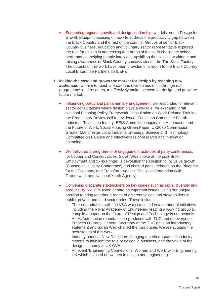- Supporting regional growth and design leadership: we delivered a Design for Growth Blueprint focusing on how to address the productivity gap between the Black Country and the rest of the country. Groups of senior Black Country business, education and voluntary sector representative explored the role for design in addressing four areas of the skills challenge: school performance, helping people into work, upskilling the existing workforce and raising awareness of Black Country success stories like The Skills Factory. The outputs of this work have been provided in a report to the Black Country Local Enterprise Partnership (LEP).
- 3. **Making the case and grown the market for design by reaching new audiences:** we aim to reach a broad and diverse audience through our programmes and research, to effectively make the case for design and grow the future market.
	- Influencing policy and parliamentary engagement: we responded to relevant sector consultations where design plays a key role, for example: draft National Planning Policy Framework, consultation on Work Related Training, the Productivity Review call for evidence, Education Committee Fourth Industrial Revolution Inquiry, BEIS Committee inquiry into Automation and the Future of Work, Social Housing Green Paper, UK2070 Commission, Greater Manchester Local Industrial Strategy, Science and Technology Committee on Balance and effectiveness of research and innovation spending.
	- We delivered a programme of engagement activities at party conferences, for Labour and Conservatives. Sarah Weir spoke at the post-Brexit Employment and Skills Fringe: Is devolution the solution to inclusive growth (Conservative Party Conference) and chaired panel debates on the Blueprint for the Economy, and Transform Ageing: The Next Generation (with Groundwork and National Youth Agency).
	- Convening disparate stakeholders on key issues such as skills, diversity and productivity: we stimulated debate on important issues, using our unique position to bring together a range of different voices and stakeholders in public, private and third sector roles. These include:
		- Three roundtables with the V&A which resulted in a number of initiatives including the Royal Academy of Engineering leading a working group to compile a paper on the future of Design and Technology in our schools.
		- − An AI/Automation roundtable co-produced with TUC and doteveryone. Frances O'Grady, General Secretary of the TUC gave an introductory statement and Sarah Weir chaired the roundtable. We are scoping the next stages of this work.
		- Industry panel at New Designers, bringing together a panel of industry experts to highlight the role of design in business, and the value of the design economy to UK GVA.
		- − An event 'Engineering Connections: Women and Work' with Engineering UK which focused on women in design and engineering.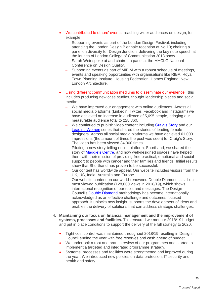- We contributed to others' events, reaching wider audiences on design, for example:
	- − Supporting events as part of the London Design Festival, including attending the London Design Biennale reception at No 10; chairing a panel on diversity for Design Junction; delivering the key note speech at the launch of London College of Communication 2018 show.
	- − Sarah Weir spoke at and chaired a panel at the MHCLG National Conference on Design Quality.
	- − Supporting events as part of MIPIM with a robust schedule of meetings, events and speaking opportunities with organisations like RIBA, Royal Town Planning Institute, Housing Federation, Homes England, New London Architecture.
- Using different communication mediums to disseminate our evidence: this includes producing new case studies, thought leadership pieces and social media:
	- We have improved our engagement with online audiences. Across all social media platforms (Linkedin, Twitter, Facebook and Instagram) we have achieved an increase in audience of 5,695 people, bringing our measurable audience total to 228,360.
	- − We continued to publish video content including [Craig's Story](https://www.designcouncil.org.uk/news-opinion/video-designing-better-life-craig-s-story) and our [Leading Women](https://www.designcouncil.org.uk/leading-women-design) series that shared the stories of leading female designers. Across all social media platforms we have achieved 61,000 impressions (the amount of times the post was seen) for Craig's Story. The video has been viewed 34,000 times.
	- Piloting a new story-telling online platform, Shorthand, we shared the story of [Maggie's Centre,](https://stories.designcouncil.org.uk/architecture-hope-maggies-centre-oldham/) and how well-designed spaces have helped them with their mission of providing free practical, emotional and social support to people with cancer and their families and friends. Initial results show that Shorthand has proven to be successful.
	- Our content has worldwide appeal. Our website includes visitors from the UK, US, India, Australia and Europe.
	- − Our website content on our world-renowned Double Diamond is still our most viewed publication (128,000 views in 2018/19), which shows international recognition of our tools and messages. The Design Council's [Double Diamond](https://www.designcouncil.org.uk/news-opinion/design-process-what-double-diamond) methodology has become internationally acknowledged as an effective challenge and outcomes focused approach. It unlocks new insight, supports the development of ideas and enables the delivery of solutions that can address strategic challenges.
- 4. **Maintaining our focus on financial management and the improvement of systems, processes and facilities.** This ensured we met our 2018/19 budget and put in place conditions to support the delivery of the full strategy to 2020.
	- Tight cost control was maintained throughout 2018/19 resulting in Design Council ending the year with free reserves and cash ahead of budget.
	- We undertook a root and branch review of our programmes and started to implement a targeted and integrated programme strategy.
	- Systems, processes and facilities were strengthened and improved during the year. We introduced new policies on data protection, IT security and health and safety.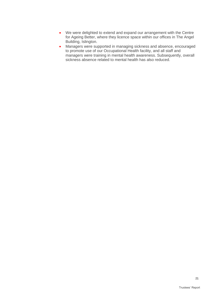- We were delighted to extend and expand our arrangement with the Centre for Ageing Better, where they licence space within our offices in The Angel Building, Islington.
- Managers were supported in managing sickness and absence, encouraged to promote use of our Occupational Health facility, and all staff and managers were training in mental health awareness. Subsequently, overall sickness absence related to mental health has also reduced.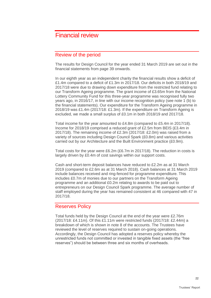## <span id="page-21-0"></span>Financial review

### Review of the period

The results for Design Council for the year ended 31 March 2019 are set out in the financial statements from page 39 onwards.

In our eighth year as an independent charity the financial results show a deficit of £1.4m compared to a deficit of £1.3m in 2017/18. Our deficits in both 2018/19 and 2017/18 were due to drawing down expenditure from the restricted fund relating to our Transform Ageing programme. The grant income of £3.65m from the National Lottery Community Fund for this three-year programme was recognised fully two years ago, in 2016/17, in line with our income recognition policy (see note 1 (b) to the financial statements). Our expenditure for the Transform Ageing programme in 2018/19 was £1.4m (2017/18: £1.3m). If the expenditure on Transform Ageing is excluded, we made a small surplus of £0.1m in both 2018/19 and 2017/18.

Total income for the year amounted to £4.8m (compared to £5.4m in 2017/18). Income for 2018/19 comprised a reduced grant of £2.5m from BEIS (£3.4m in 2017/18). The remaining income of £2.3m (2017/18: £2.0m) was raised from a variety of sources including Design Council Spark (£0.8m) and various activities carried out by our Architecture and the Built Environment practice (£0.9m).

Total costs for the year were £6.2m (£6.7m in 2017/18). The reduction in costs is largely driven by £0.4m of cost savings within our support costs.

Cash and short-term deposit balances have reduced to £2.2m as at 31 March 2019 (compared to £2.6m as at 31 March 2018). Cash balances at 31 March 2019 include balances received and ring-fenced for programme expenditure. This includes £0.7m of monies due to our partners on the Transform Ageing programme and an additional £0.2m relating to awards to be paid out to entrepreneurs on our Design Council Spark programme. The average number of staff employed during the year has remained consistent at 46 compared with 47 in 2017/18.

### Reserves Policy

Total funds held by the Design Council at the end of the year were £2.76m (2017/18: £4.11m). Of this £1.11m were restricted funds (2017/18: £2.44m) a breakdown of which is shown in note 8 of the accounts. The Trustees have reviewed the level of reserves required to sustain on-going operations. Accordingly, the Design Council has adopted a reserves policy whereby the unrestricted funds not committed or invested in tangible fixed assets (the "free reserves") should be between three and six months of overheads.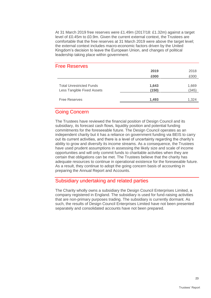At 31 March 2019 free reserves were £1.49m (2017/18: £1.32m) against a target level of £0.45m to £0.9m. Given the current external context, the Trustees are comfortable that the free reserves at 31 March 2019 were above the target level; the external context includes macro-economic factors driven by the United Kingdom's decision to leave the European Union, and changes of political leadership taking place within government.

| <b>Free Reserves</b>            |       |       |
|---------------------------------|-------|-------|
|                                 | 2019  | 2018  |
|                                 | £000  | £000  |
| <b>Total Unrestricted Funds</b> | 1,643 | 1,669 |
| Less Tangible Fixed Assets      | (150) | (345) |
| <b>Free Reserves</b>            | 1,493 | 1,324 |
|                                 |       |       |

## Going Concern

The Trustees have reviewed the financial position of Design Council and its subsidiary, its forecast cash flows, liquidity position and potential funding commitments for the foreseeable future. The Design Council operates as an independent charity but it has a reliance on government funding via BEIS to carry out its current activities, and there is a level of uncertainty regarding the charity's ability to grow and diversify its income streams. As a consequence, the Trustees have used prudent assumptions in assessing the likely size and scale of income opportunities and will only commit funds to charitable activities when they are certain that obligations can be met. The Trustees believe that the charity has adequate resources to continue in operational existence for the foreseeable future. As a result, they continue to adopt the going concern basis of accounting in preparing the Annual Report and Accounts.

### Subsidiary undertaking and related parties

The Charity wholly owns a subsidiary the Design Council Enterprises Limited, a company registered in England. The subsidiary is used for fund-raising activities that are non-primary purposes trading. The subsidiary is currently dormant. As such, the results of Design Council Enterprises Limited have not been presented separately and consolidated accounts have not been prepared.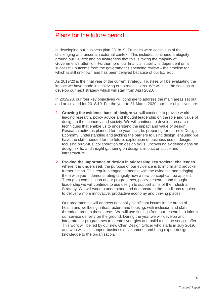## <span id="page-23-0"></span>Plans for the future period

In developing our business plan 2018/19, Trustees were conscious of the challenging and uncertain external context. This includes continued ambiguity around our EU exit and an awareness that this is taking the majority of Government's attention. Furthermore, our financial stability is dependent on a successful outcome from the government's spending review – the timeline for which is still unknown and has been delayed because of our EU exit.

As 2019/20 is the final year of the current strategy, Trustees will be evaluating the impact we have made in achieving our strategic aims. We will use the findings to develop our next strategy which will start from April 2020.

In 2019/20, our four key objectives will continue to address the main areas set out and articulated for 2018/19. For the year to 31 March 2020, our four objectives are:

- 1. **Growing the evidence base of design:** we will continue to provide worldleading research, policy advice and thought leadership on the role and value of design to the economy and society. We will continue to develop research techniques that enable us to understand the impact and value of design. Research activities planned for the year include: preparing for our next Design Economy; understanding and tackling the barriers to using design; ensuring we have the skills needed for the future; exploration of business use of design, focusing on SMEs; collaboration on design skills, uncovering evidence gaps on design skills; and insight gathering on design's impact on place and infrastructure.
- 2. **Proving the importance of design in addressing key societal challenges where it is underused:** the purpose of our evidence is to inform and provoke further action. This requires engaging people with the evidence and bringing them with you – demonstrating tangibly how a new concept can be applied. Through a combination of our programmes, policy, research and thought leadership we will continue to use design to support aims of the Industrial Strategy. We will work to understand and demonstrate the conditions required to deliver a more innovative, productive economy and thriving places.

Our programmes will address nationally significant issues in the areas of health and wellbeing, infrastructure and housing, with inclusion and skills threaded through these areas. We will use findings from our research to inform our service delivery on the ground. During the year we will develop and integrate our programmes to create synergies and build a unique service offer. This work will be led by our new Chief Design Officer who starts in July 2019, and who will also support business development and bring expert design knowledge to the organisation.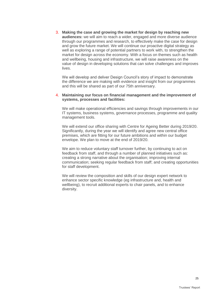3. **Making the case and growing the market for design by reaching new audiences:** we will aim to reach a wider, engaged and more diverse audience through our programmes and research, to effectively make the case for design and grow the future market. We will continue our proactive digital strategy as well as exploring a range of potential partners to work with, to strengthen the market for design across the economy. With a focus on themes such as health and wellbeing, housing and infrastructure, we will raise awareness on the value of design in developing solutions that can solve challenges and improves lives.

We will develop and deliver Design Council's story of impact to demonstrate the difference we are making with evidence and insight from our programmes and this will be shared as part of our 75th anniversary.

#### 4. **Maintaining our focus on financial management and the improvement of systems, processes and facilities:**

We will make operational efficiencies and savings through improvements in our IT systems, business systems, governance processes, programme and quality management tools.

We will extend our office sharing with Centre for Ageing Better during 2019/20. Significantly, during the year we will identify and agree new central office premises, which are fitting for our future ambitions and within our budget envelope. We plan to move at the end of 2019/20.

We aim to reduce voluntary staff turnover further, by continuing to act on feedback from staff, and through a number of planned initiatives such as: creating a strong narrative about the organisation; improving internal communication; seeking regular feedback from staff; and creating opportunities for staff development.

We will review the composition and skills of our design expert network to enhance sector specific knowledge (eg infrastructure and, health and wellbeing), to recruit additional experts to chair panels, and to enhance diversity.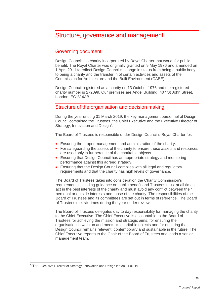## <span id="page-25-0"></span>Structure, governance and management

### Governing document

Design Council is a charity incorporated by Royal Charter that works for public benefit. The Royal Charter was originally granted on 9 May 1976 and amended on 1 April 2011 to reflect Design Council's change in status from being a public body to being a charity and the transfer in of certain activities and assets of the Commission for Architecture and the Built Environment (CABE).

Design Council registered as a charity on 13 October 1976 and the registered charity number is 272099. Our premises are Angel Building, 407 St John Street, London, EC1V 4AB.

## Structure of the organisation and decision making

During the year ending 31 March 2019, the key management personnel of Design Council comprised the Trustees, the Chief Executive and the Executive Director of Strategy, Innovation and Design<sup>5</sup>.

The Board of Trustees is responsible under Design Council's Royal Charter for:

- Ensuring the proper management and administration of the charity.
- For safeguarding the assets of the charity to ensure these assets and resources are used only in furtherance of the charitable objects.
- Ensuring that Design Council has an appropriate strategy and monitoring performance against this agreed strategy.
- Ensuring that the Design Council complies with all legal and regulatory requirements and that the charity has high levels of governance.

The Board of Trustees takes into consideration the Charity Commission's requirements including guidance on public benefit and Trustees must at all times act in the best interests of the charity and must avoid any conflict between their personal or outside interests and those of the charity. The responsibilities of the Board of Trustees and its committees are set out in terms of reference. The Board of Trustees met six times during the year under review.

The Board of Trustees delegates day to day responsibility for managing the charity to the Chief Executive. The Chief Executive is accountable to the Board of Trustees for achieving the mission and strategic aims, for ensuring the organisation is well run and meets its charitable objects and for ensuring that Design Council remains relevant, contemporary and sustainable in the future. The Chief Executive reports to the Chair of the Board of Trustees and leads a senior management team.

<sup>5</sup> The Executive Director of Strategy, Innovation and Design left on 31.01.19.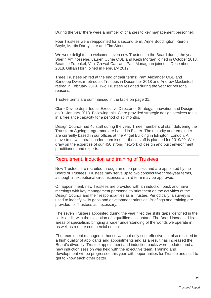During the year there were a number of changes to key management personnel.

Four Trustees were reappointed for a second term: Anne Boddington, Kieron Boyle, Martin Darbyshire and Tim Stonor.

We were delighted to welcome seven new Trustees to the Board during the year: Sherin Aminossehe, Lauren Currie OBE and Keith Morgan joined in October 2018. Beatrice Fraenkel, Vimi Grewal-Carr and Paul Monaghan joined in December 2018. Gillian Horn joined in February 2019.

Three Trustees retired at the end of their terms: Pam Alexander OBE and Sandeep Dwesar retired as Trustees in December 2018 and Andrew Mackintosh retired in February 2019. Two Trustees resigned during the year for personal reasons.

Trustee terms are summarised in the table on page 31.

Clare Devine departed as Executive Director of Strategy, Innovation and Design on 31 January 2018. Following this, Clare provided strategic design services to us in a freelance capacity for a period of six months.

Design Council had 46 staff during the year. Three members of staff delivering the Transform Ageing programme are based in Exeter. The majority and remainder are currently based in our offices at the Angel Building in Islington, London. A move to new central London premises for these staff is planned for 2019/20. We draw on the expertise of our 450 strong network of design and built environment practitioners and experts.

### Recruitment, induction and training of Trustees

New Trustees are recruited through an open process and are appointed by the Board of Trustees. Trustees may serve up to two consecutive three-year terms, although in exceptional circumstances a third term may be approved.

On appointment, new Trustees are provided with an induction pack and have meetings with key management personnel to brief them on the activities of the Design Council and their responsibilities as a Trustee. Periodically, a survey is used to identify skills gaps and development priorities. Briefings and training are provided for Trustees as necessary.

The seven Trustees appointed during the year filled the skills gaps identified in the skills audit, with the exception of a qualified accountant. The Board increased its areas of specialism, bringing a wider understanding of the worlds we operate in, as well as a more commercial outlook.

The recruitment managed in-house was not only cost-effective but also resulted in a high quality of applicants and appointments and as a result has increased the Board's diversity. Trustee appointment and induction packs were updated and a new induction session was held with the executive team. Training and development will be progressed this year with opportunities for Trustee and staff to get to know each other better.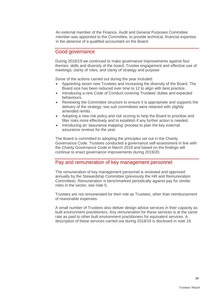An external member of the Finance, Audit and General Purposes Committee member was appointed to the Committee, to provide technical, financial expertise in the absence of a qualified accountant on the Board.

### Good governance

During 2018/19 we continued to make governance improvements against four themes: skills and diversity of the board; Trustee engagement and effective use of meetings; clarity of roles; and clarity of strategy and purpose

Some of the actions carried out during the year included:

- Appointing seven new Trustees and increasing the diversity of the Board. The Board size has been reduced over time to 12 to align with best practice.
- Introducing a new Code of Conduct covering Trustees' duties and expected behaviours.
- Reviewing the Committee structure to ensure it is appropriate and supports the delivery of the strategy: two sub committees were retained with slightly amended remits.
- Adopting a new risk policy and risk scoring to help the Board to prioritise and filter risks more effectively and to establish if any further action is needed.
- Introducing an 'assurance mapping' process to plan the key external assurance reviews for the year.

The Board is committed to adopting the principles set out in the Charity Governance Code. Trustees conducted a governance self-assessment in line with the Charity Governance Code in March 2019 and based on the findings will continue to enact governance improvements during 2019/20.

### Pay and remuneration of key management personnel

The remuneration of key management personnel is reviewed and approved annually by the Stewardship Committee (previously the HR and Remuneration Committee). Remuneration is benchmarked periodically against pay for similar roles in the sector, see note 5.

Trustees are not remunerated for their role as Trustees, other than reimbursement of reasonable expenses.

A small number of Trustees also deliver design advice services in their capacity as built environment practitioners. Any remuneration for these services is at the same rate as paid to other built environment practitioners for equivalent services. A description of these services carried out during 2018/19 is disclosed in note 19.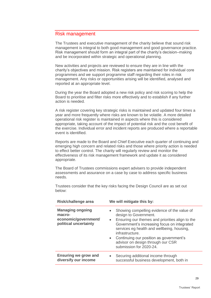### Risk management

The Trustees and executive management of the charity believe that sound risk management is integral to both good management and good governance practice. Risk management should form an integral part of the charity's decision–making and be incorporated within strategic and operational planning.

New activities and projects are reviewed to ensure they are in line with the charity's objectives and mission. Risk registers are maintained for individual core programmes and we support programme staff regarding their roles in risk management. Any risks or opportunities arising will be identified, analysed and reported at an appropriate level.

During the year the Board adopted a new risk policy and risk scoring to help the Board to prioritise and filter risks more effectively and to establish if any further action is needed.

A risk register covering key strategic risks is maintained and updated four times a year and more frequently where risks are known to be volatile. A more detailed operational risk register is maintained in aspects where this is considered appropriate, taking account of the impact of potential risk and the cost benefit of the exercise. Individual error and incident reports are produced where a reportable event is identified.

Reports are made to the Board and Chief Executive each quarter of continuing and emerging high concern and related risks and those where priority action is needed to effect better control. The charity will regularly review and monitor the effectiveness of its risk management framework and update it as considered appropriate.

The Board of Trustees commissions expert advisers to provide independent assessments and assurance on a case by case to address specific business needs.

Trustees consider that the key risks facing the Design Council are as set out below:

| Risk/challenge area                                                                | We will mitigate this by:                                                                                                                                                                                                                                                                                                                              |
|------------------------------------------------------------------------------------|--------------------------------------------------------------------------------------------------------------------------------------------------------------------------------------------------------------------------------------------------------------------------------------------------------------------------------------------------------|
| <b>Managing ongoing</b><br>macro-<br>economic/government/<br>political uncertainty | Showing compelling evidence of the value of<br>design to Government.<br>• Ensuring our themes and priorities align to the<br>Government's increasing focus on integrated<br>services eg health and wellbeing, housing,<br>infrastructure.<br>• Continuing our position as government's<br>advisor on design through our CSR<br>submission for 2020-24. |
| <b>Ensuring we grow and</b><br>diversify our income                                | Securing additional income through<br>$\bullet$<br>successful business development, both in                                                                                                                                                                                                                                                            |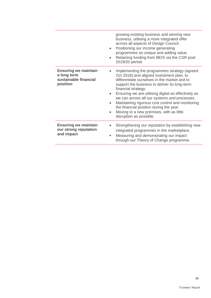|                                                                                 | growing existing business and winning new<br>business, utilising a more integrated offer<br>across all aspects of Design Council.<br>Positioning our income generating<br>$\bullet$<br>programmes as unique and adding value.<br>Retaining funding from BEIS via the CSR post<br>$\bullet$<br>2019/20 period.                                                                                                                                                                                                                                      |
|---------------------------------------------------------------------------------|----------------------------------------------------------------------------------------------------------------------------------------------------------------------------------------------------------------------------------------------------------------------------------------------------------------------------------------------------------------------------------------------------------------------------------------------------------------------------------------------------------------------------------------------------|
| <b>Ensuring we maintain</b><br>a long term<br>sustainable financial<br>position | Implementing the programmes strategy (agreed<br>$\bullet$<br>Oct 2018) and aligned investment plan, to<br>differentiate ourselves in the market and to<br>support the business to deliver its long-term<br>financial strategy.<br>Ensuring we are utilising digital as effectively as<br>$\bullet$<br>we can across all our systems and processes.<br>Maintaining rigorous cost control and monitoring<br>$\bullet$<br>the financial position during the year.<br>Moving to a new premises, with as little<br>$\bullet$<br>disruption as possible. |
| <b>Ensuring we maintain</b><br>our strong reputation<br>and impact              | Strengthening our reputation by establishing new<br>integrated programmes in the marketplace.<br>Measuring and demonstrating our impact<br>ш<br>through our Theory of Change programme.                                                                                                                                                                                                                                                                                                                                                            |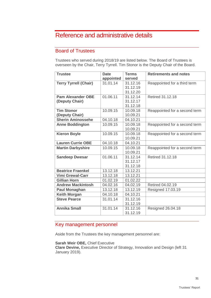## <span id="page-30-0"></span>Reference and administrative details

## Board of Trustees

Trustees who served during 2018/19 are listed below. The Board of Trustees is overseen by the Chair, Terry Tyrrell. Tim Stonor is the Deputy Chair of the Board.

| <b>Trustee</b>               | <b>Date</b> | <b>Terms</b> | <b>Retirements and notes</b>  |
|------------------------------|-------------|--------------|-------------------------------|
|                              | appointed   | served       |                               |
| <b>Terry Tyrrell (Chair)</b> | 31.01.14    | 31.12.16     | Reappointed for a third term  |
|                              |             | 31.12.19     |                               |
|                              |             | 31.12.20     |                               |
| <b>Pam Alexander OBE</b>     | 01.06.11    | 31.12.14     | Retired 31.12.18              |
| (Deputy Chair)               |             | 31.12.17     |                               |
|                              |             | 31.12.18     |                               |
| <b>Tim Stonor</b>            | 10.09.15    | 10.09.18     | Reappointed for a second term |
| (Deputy Chair)               |             | 10.09.21     |                               |
| <b>Sherin Aminossehe</b>     | 04.10.18    | 04.10.21     |                               |
| <b>Anne Boddington</b>       | 10.09.15    | 10.09.18     | Reappointed for a second term |
|                              |             | 10.09.21     |                               |
| <b>Kieron Boyle</b>          | 10.09.15    | 10.09.18     | Reappointed for a second term |
|                              |             | 10.09.21     |                               |
| <b>Lauren Currie OBE</b>     | 04.10.18    | 04.10.21     |                               |
| <b>Martin Darbyshire</b>     | 10.09.15    | 10.09.18     | Reappointed for a second term |
|                              |             | 10.09.21     |                               |
| <b>Sandeep Dwesar</b>        | 01.06.11    | 31.12.14     | Retired 31.12.18              |
|                              |             | 31.12.17     |                               |
|                              |             | 31.12.18     |                               |
| <b>Beatrice Fraenkel</b>     | 13.12.18    | 13.12.21     |                               |
| <b>Vimi Grewal-Carr</b>      | 13.12.18    | 13.12.21     |                               |
| <b>Gillian Horn</b>          | 01.02.19    | 01.02.22     |                               |
| <b>Andrew Mackintosh</b>     | 04.02.16    | 04.02.19     | Retired 04.02.19              |
| <b>Paul Monaghan</b>         | 13.12.18    | 13.12.19     | Resigned 17.03.19             |
| <b>Keith Morgan</b>          | 04.10.18    | 04.10.21     |                               |
| <b>Steve Pearce</b>          | 31.01.14    | 31.12.16     |                               |
|                              |             | 31.12.19     |                               |
| <b>Annika Small</b>          | 31.01.14    | 31.12.16     | Resigned 26.04.18             |
|                              |             | 31.12.19     |                               |

## Key management personnel

Aside from the Trustees the key management personnel are:

#### **Sarah Weir OBE, Chief Executive**

**Clare Devine,** Executive Director of Strategy, Innovation and Design (left 31 January 2019).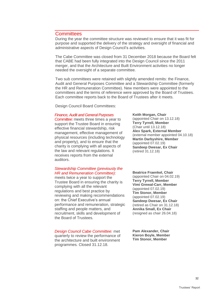### **Committees**

During the year the committee structure was reviewed to ensure that it was fit for purpose and supported the delivery of the strategy and oversight of financial and administrative aspects of Design Council's activities.

The Cabe Committee was closed from 31 December 2018 because the Board felt that CABE had been fully integrated into the Design Council since the 2011 merger, and that the Architecture and Built Environment activities no longer needed the oversight of a separate committee.

Two sub committees were retained with slightly amended remits: the Finance, Audit and General Purposes Committee and a Stewardship Committee (formerly the HR and Remuneration Committee). New members were appointed to the committees and the terms of reference were approved by the Board of Trustees. Each committee reports back to the Board of Trustees after it meets.

Design Council Board Committees:

#### *Finance, Audit and General Purposes*

*Committee:* meets three times a year to support the Trustee Board in ensuring effective financial stewardship, risk management, effective management of physical resources (including technology and property), and to ensure that the charity is complying with all aspects of the law and relevant regulations. It receives reports from the external auditors.

### *Stewardship Committee (previously the HR and Remuneration Committee):*

meets twice a year to support the Trustee Board in ensuring the charity is complying with all the relevant regulations and best practice by reviewing and making recommendations on: the Chief Executive's annual performance and remuneration, strategic staffing and people matters, and recruitment, skills and development of the Board of Trustees.

*Design Council Cabe Committee:* met quarterly to review the performance of

the architecture and built environment programmes*.* Closed 31.12.18.

**Keith Morgan, Chair** (appointed Chair on 13.12.18) **Terry Tyrrell, Member** (Chair until 13.12.18) **Alex Spark, External Member** (external member appointed 04.10.18) **Martin Darbyshire, Member** (appointed 07.02.19) **Sandeep Dwesar, Ex Chair** (retired 31.12.18)

**Beatrice Fraenkel, Chair** (appointed Chair on 04.02.19) **Terry Tyrrell, Member Vimi Grewal-Carr, Member** (appointed 07.02.19) **Tim Stonor, Member** (appointed 07.02.19) **Sandeep Dwesar, Ex Chair** (retired as Chair on 31.12.18) **Annika Small, Ex Chair** (resigned as chair 26.04.18)

**Pam Alexander, Chair Kieron Boyle, Member Tim Stonor, Member**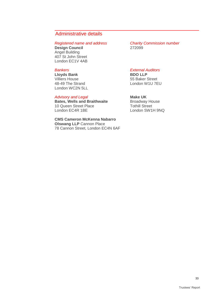## Administrative details

**Design Council** Angel Building 407 St John Street London EC1V 4AB

### *Bankers*

**Lloyds Bank** Villiers House 48-49 The Strand London WC2N 5LL

#### *Advisory and Legal*

**Bates, Wells and Braithwaite** 10 Queen Street Place London EC4R 1BE

**CMS Cameron McKenna Nabarro Olswang LLP** Cannon Place 78 Cannon Street, London EC4N 6AF

*Registered name and address Charity Commission number*

#### *External Auditors*

**BDO LLP** 55 Baker Street London W1U 7EU

#### **Make UK**

Broadway House Tothill Street London SW1H 9NQ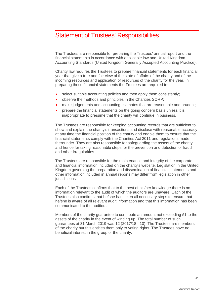## <span id="page-33-0"></span>Statement of Trustees' Responsibilities

The Trustees are responsible for preparing the Trustees' annual report and the financial statements in accordance with applicable law and United Kingdom Accounting Standards (United Kingdom Generally Accepted Accounting Practice).

Charity law requires the Trustees to prepare financial statements for each financial year that give a true and fair view of the state of affairs of the charity and of the incoming resources and application of resources of the charity for the year. In preparing those financial statements the Trustees are required to:

- select suitable accounting policies and then apply them consistently;
- observe the methods and principles in the Charities SORP;
- make judgements and accounting estimates that are reasonable and prudent;
- prepare the financial statements on the going concern basis unless it is inappropriate to presume that the charity will continue in business.

The Trustees are responsible for keeping accounting records that are sufficient to show and explain the charity's transactions and disclose with reasonable accuracy at any time the financial position of the charity and enable them to ensure that the financial statements comply with the Charities Act 2011 and regulations made thereunder. They are also responsible for safeguarding the assets of the charity and hence for taking reasonable steps for the prevention and detection of fraud and other irregularities.

The Trustees are responsible for the maintenance and integrity of the corporate and financial information included on the charity's website. Legislation in the United Kingdom governing the preparation and dissemination of financial statements and other information included in annual reports may differ from legislation in other jurisdictions.

Each of the Trustees confirms that to the best of his/her knowledge there is no information relevant to the audit of which the auditors are unaware. Each of the Trustees also confirms that he/she has taken all necessary steps to ensure that he/she is aware of all relevant audit information and that this information has been communicated to the auditors.

Members of the charity guarantee to contribute an amount not exceeding £1 to the assets of the charity in the event of winding up. The total number of such guarantees at 31 March 2019 was 12 (2017/18 - 10). The Trustees are members of the charity but this entitles them only to voting rights. The Trustees have no beneficial interest in the group or the charity.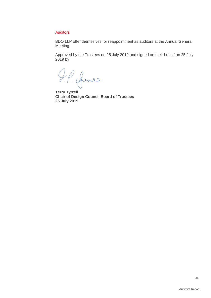#### Auditors

BDO LLP offer themselves for reappointment as auditors at the Annual General Meeting.

Approved by the Trustees on 25 July 2019 and signed on their behalf on 25 July 2019 by

**Terry Tyrrell**

**Chair of Design Council Board of Trustees 25 July 2019**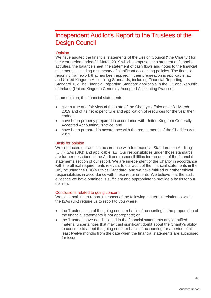## <span id="page-35-0"></span>Independent Auditor's Report to the Trustees of the Design Council

#### **Opinion**

We have audited the financial statements of the Design Council ("the Charity") for the year period ended 31 March 2019 which comprise the statement of financial activities, the balance sheet, the statement of cash flows and notes to the financial statements, including a summary of significant accounting policies. The financial reporting framework that has been applied in their preparation is applicable law and United Kingdom Accounting Standards, including Financial Reporting Standard 102 The Financial Reporting Standard applicable in the UK and Republic of Ireland (United Kingdom Generally Accepted Accounting Practice).

In our opinion, the financial statements:

- give a true and fair view of the state of the Charity's affairs as at 31 March 2019 and of its net expenditure and application of resources for the year then ended;
- have been properly prepared in accordance with United Kingdom Generally Accepted Accounting Practice; and
- have been prepared in accordance with the requirements of the Charities Act 2011.

#### Basis for opinion

We conducted our audit in accordance with International Standards on Auditing (UK) (ISAs (UK)) and applicable law. Our responsibilities under those standards are further described in the Auditor's responsibilities for the audit of the financial statements section of our report. We are independent of the Charity in accordance with the ethical requirements relevant to our audit of the financial statements in the UK, including the FRC's Ethical Standard, and we have fulfilled our other ethical responsibilities in accordance with these requirements. We believe that the audit evidence we have obtained is sufficient and appropriate to provide a basis for our opinion.

#### Conclusions related to going concern

We have nothing to report in respect of the following matters in relation to which the ISAs (UK) require us to report to you where:

- the Trustees' use of the going concern basis of accounting in the preparation of the financial statements is not appropriate; or
- the Trustees have not disclosed in the financial statements any identified material uncertainties that may cast significant doubt about the Charity's ability to continue to adopt the going concern basis of accounting for a period of at least twelve months from the date when the financial statements are authorised for issue.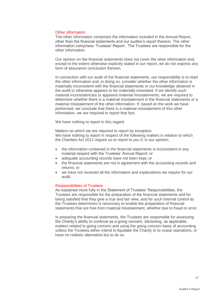#### Other information

The other information comprises the information included in the Annual Report, other than the financial statements and our auditor's report thereon. The other information comprises: Trustees' Report. The Trustees are responsible for the other information.

Our opinion on the financial statements does not cover the other information and, except to the extent otherwise explicitly stated in our report, we do not express any form of assurance conclusion thereon.

In connection with our audit of the financial statements, our responsibility is to read the other information and, in doing so, consider whether the other information is materially inconsistent with the financial statements or our knowledge obtained in the audit or otherwise appears to be materially misstated. If we identify such material inconsistencies or apparent material misstatements, we are required to determine whether there is a material misstatement in the financial statements or a material misstatement of the other information. If, based on the work we have performed, we conclude that there is a material misstatement of this other information, we are required to report that fact.

We have nothing to report in this regard.

<span id="page-36-0"></span>Matters on which we are required to report by exception We have nothing to report in respect of the following matters in relation to which the Charities Act 2011 require us to report to you if, in our opinion;

- the information contained in the financial statements is inconsistent in any material respect with the Trustees' Annual Report; or
- adequate accounting records have not been kept; or
- the financial statements are not in agreement with the accounting records and returns; or
- we have not received all the information and explanations we require for our audit.

#### Responsibilities of Trustees

As explained more fully in the Statement of Trustees' Responsibilities, the Trustees are responsible for the preparation of the financial statements and for being satisfied that they give a true and fair view, and for such internal control as the Trustees determines is necessary to enable the preparation of financial statements that are free from material misstatement, whether due to fraud or error.

In preparing the financial statements, the Trustees are responsible for assessing the Charity's ability to continue as a going concern, disclosing, as applicable, matters related to going concern and using the going concern basis of accounting unless the Trustees either intend to liquidate the Charity or to cease operations, or have no realistic alternative but to do so.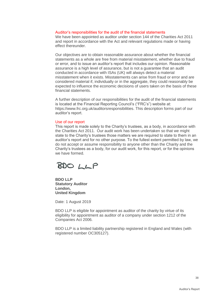#### <span id="page-37-0"></span>Auditor's responsibilities for the audit of the financial statements

We have been appointed as auditor under section 144 of the Charities Act 2011 and report in accordance with the Act and relevant regulations made or having effect thereunder.

Our objectives are to obtain reasonable assurance about whether the financial statements as a whole are free from material misstatement, whether due to fraud or error, and to issue an auditor's report that includes our opinion. Reasonable assurance is a high level of assurance, but is not a guarantee that an audit conducted in accordance with ISAs (UK) will always detect a material misstatement when it exists. Misstatements can arise from fraud or error and are considered material if, individually or in the aggregate, they could reasonably be expected to influence the economic decisions of users taken on the basis of these financial statements.

A further description of our responsibilities for the audit of the financial statements is located at the Financial Reporting Council's ("FRC's") website at: [https://www.frc.org.uk/auditorsresponsibilities.](https://www.frc.org.uk/auditorsresponsibilities) This description forms part of our auditor's report.

#### <span id="page-37-1"></span>Use of our report

This report is made solely to the Charity's trustees, as a body, in accordance with the Charities Act 2011. Our audit work has been undertaken so that we might state to the Charity's trustees those matters we are required to state to them in an auditor's report and for no other purpose. To the fullest extent permitted by law, we do not accept or assume responsibility to anyone other than the Charity and the Charity's trustees as a body, for our audit work, for this report, or for the opinions we have formed.



**BDO LLP Statutory Auditor London, United Kingdom**

Date: 1 August 2019

BDO LLP is eligible for appointment as auditor of the charity by virtue of its eligibility for appointment as auditor of a company under section 1212 of the Companies Act 2006.

BDO LLP is a limited liability partnership registered in England and Wales (with registered number OC305127).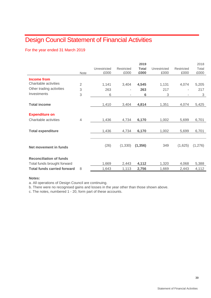## <span id="page-38-0"></span>Design Council Statement of Financial Activities

### For the year ended 31 March 2019

|                                    |                |              |            | 2019         |              |            | 2018    |
|------------------------------------|----------------|--------------|------------|--------------|--------------|------------|---------|
|                                    |                | Unrestricted | Restricted | <b>Total</b> | Unrestricted | Restricted | Total   |
|                                    | <b>Note</b>    | £000         | £000       | £000         | £000         | £000       | £000    |
| <b>Income from</b>                 |                |              |            |              |              |            |         |
| Charitable activities              | $\overline{2}$ | 1,141        | 3,404      | 4,545        | 1,131        | 4,074      | 5,205   |
| Other trading activities           | 3              | 263          | ٠          | 263          | 217          |            | 217     |
| Investments                        | 3              | 6            | ٠          | 6            | 3            |            | 3       |
|                                    |                |              |            |              |              |            |         |
| <b>Total income</b>                |                | 1,410        | 3,404      | 4,814        | 1,351        | 4,074      | 5,425   |
|                                    |                |              |            |              |              |            |         |
| <b>Expenditure on</b>              |                |              |            |              |              |            |         |
| Charitable activities              | 4              | 1,436        | 4,734      | 6,170        | 1,002        | 5,699      | 6,701   |
|                                    |                |              |            |              |              |            |         |
| <b>Total expenditure</b>           |                | 1,436        | 4,734      | 6,170        | 1,002        | 5,699      | 6,701   |
|                                    |                |              |            |              |              |            |         |
|                                    |                |              |            |              |              |            |         |
| Net movement in funds              |                | (26)         | (1, 330)   | (1, 356)     | 349          | (1,625)    | (1,276) |
|                                    |                |              |            |              |              |            |         |
| <b>Reconciliation of funds</b>     |                |              |            |              |              |            |         |
| Total funds brought forward        |                | 1,669        | 2,443      | 4,112        | 1,320        | 4,068      | 5,388   |
| <b>Total funds carried forward</b> | 8              | 1,643        | 1,113      | 2,756        | 1,669        | 2,443      | 4,112   |

#### **Notes:**

a. All operations of Design Council are continuing.

b. There were no recognised gains and losses in the year other than those shown above.

c. The notes, numbered 1 - 20, form part of these accounts.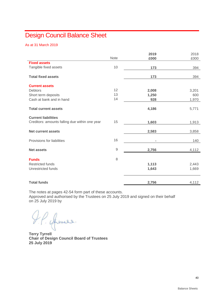## <span id="page-39-0"></span>Design Council Balance Sheet

As at 31 March 2019

|                                                |             | 2019           | 2018  |
|------------------------------------------------|-------------|----------------|-------|
|                                                | <b>Note</b> | £000           | £000  |
| <b>Fixed assets</b>                            |             |                |       |
| Tangible fixed assets                          | 10          | 173            | 394   |
|                                                |             |                |       |
| <b>Total fixed assets</b>                      |             | 173            | 394   |
| <b>Current assets</b>                          |             |                |       |
| <b>Debtors</b>                                 | 12          | 2,008          | 3,201 |
| Short term deposits                            | 13          | 1,250          | 600   |
| Cash at bank and in hand                       | 14          | 928            | 1,970 |
|                                                |             |                |       |
| <b>Total current assets</b>                    |             | 4,186          | 5,771 |
| <b>Current liabilities</b>                     |             |                |       |
| Creditors: amounts falling due within one year | 15          | 1,603          | 1,913 |
|                                                |             |                |       |
| <b>Net current assets</b>                      |             | 2,583          | 3,858 |
|                                                |             |                |       |
| Provisions for liabilities                     | 16          | $\blacksquare$ | 140   |
| <b>Net assets</b>                              | $\mathsf 9$ | 2,756          | 4,112 |
|                                                |             |                |       |
| <b>Funds</b>                                   | 8           |                |       |
| <b>Restricted funds</b>                        |             | 1,113          | 2,443 |
| Unrestricted funds                             |             | 1,643          | 1,669 |
|                                                |             |                |       |
| <b>Total funds</b>                             |             | 2,756          | 4,112 |

The notes at pages 42-54 form part of these accounts.

Approved and authorised by the Trustees on 25 July 2019 and signed on their behalf on 25 July 2019 by

**Terry Tyrrell**

**Chair of Design Council Board of Trustees 25 July 2019**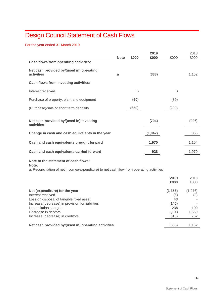## <span id="page-40-0"></span>Design Council Statement of Cash Flows

For the year ended 31 March 2019

|                                                                                                                                                     |             |       | 2019    |                                | 2018           |
|-----------------------------------------------------------------------------------------------------------------------------------------------------|-------------|-------|---------|--------------------------------|----------------|
|                                                                                                                                                     | <b>Note</b> | £000  | £000    | £000                           | £000           |
| Cash flows from operating activities:                                                                                                               |             |       |         |                                |                |
| Net cash provided by/(used in) operating<br>activities                                                                                              | a           |       | (338)   |                                | 1,152          |
| Cash flows from investing activities:                                                                                                               |             |       |         |                                |                |
| Interest received                                                                                                                                   |             | 6     |         | 3                              |                |
| Purchase of property, plant and equipment                                                                                                           |             | (60)  |         | (89)                           |                |
| (Purchase)/sale of short term deposits                                                                                                              |             | (650) |         | (200)                          |                |
| Net cash provided by/(used in) investing<br>activities                                                                                              |             |       | (704)   |                                | (286)          |
| Change in cash and cash equivalents in the year                                                                                                     |             |       | (1,042) |                                | 866            |
| Cash and cash equivalents brought forward                                                                                                           |             |       | 1,970   |                                | 1,104          |
| Cash and cash equivalents carried forward                                                                                                           |             |       | 928     |                                | 1,970          |
| Note to the statement of cash flows:<br>Note:<br>a. Reconciliation of net income/(expenditure) to net cash flow from operating activities           |             |       |         |                                |                |
|                                                                                                                                                     |             |       |         | 2019<br>£000                   | 2018<br>£000   |
| Net (expenditure) for the year<br>Interest received<br>Loss on disposal of tangible fixed asset<br>Increase/(decrease) in provision for liabilities |             |       |         | (1, 356)<br>(6)<br>43<br>(140) | (1,276)<br>(3) |

| Loud on diopoudi or tangible into a doodt           |       |       |
|-----------------------------------------------------|-------|-------|
| Increase/(decrease) in provision for liabilities    | (140) |       |
| Depreciation charges                                | 238   | 100   |
| Decrease in debtors                                 | 1.193 | 1.569 |
| Increase/(decrease) in creditors                    | (310) | 762   |
|                                                     |       |       |
| Net cash provided by/(used in) operating activities | (338) | 1.152 |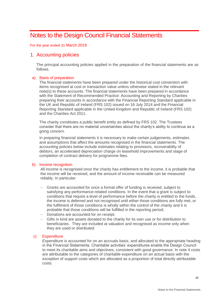## <span id="page-41-0"></span>Notes to the Design Council Financial Statements

For the year ended 31 March 2019

### 1. Accounting policies

The principal accounting policies applied in the preparation of the financial statements are as follows.

#### a) Basis of preparation

The financial statements have been prepared under the historical cost convention with items recognised at cost or transaction value unless otherwise stated in the relevant note(s) to these accounts. The financial statements have been prepared in accordance with the Statement of Recommended Practice: Accounting and Reporting by Charities preparing their accounts in accordance with the Financial Reporting Standard applicable in the UK and Republic of Ireland (FRS 102) issued on 16 July 2014 and the Financial Reporting Standard applicable in the United Kingdom and Republic of Ireland (FRS 102) and the Charities Act 2011.

The charity constitutes a public benefit entity as defined by FRS 102. The Trustees consider that there are no material uncertainties about the charity's ability to continue as a going concern.

In preparing financial statements it is necessary to make certain judgements, estimates and assumptions that affect the amounts recognised in the financial statements. The accounting policies below include estimates relating to provisions, recoverability of debtors, an accelerated depreciation charge on leasehold improvements and stage of completion of contract delivery for programme fees.

#### b) Income recognition

All income is recognised once the charity has entitlement to the income, it is probable that the income will be received, and the amount of income receivable can be measured reliably. In particular:

- Grants are accounted for once a formal offer of funding is received, subject to satisfying any performance-related conditions. In the event that a grant is subject to conditions that require a level of performance before the charity is entitled to the funds, the income is deferred and not recognised until either those conditions are fully met, or the fulfilment of those conditions is wholly within the control of the charity and it is probable that those conditions will be fulfilled in the reporting period;
- − Donations are accounted for on receipt;
- Gifts in kind are assets donated to the charity for its own use or for distribution to beneficiaries. They are included at valuation and recognised as income only when they are used or distributed.

#### c) Expenditure

Expenditure is accounted for on an accruals basis, and allocated to the appropriate heading in the Financial Statements. Charitable activities' expenditures enable the Design Council to meet its charitable aims and objectives, consistent with good governance. In note 4 costs are attributable to the categories of charitable expenditure on an actual basis with the exception of support costs which are allocated as a proportion of total directly attributable costs.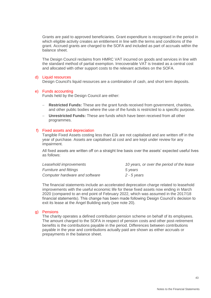Grants are paid to approved beneficiaries. Grant expenditure is recognised in the period in which eligible activity creates an entitlement in line with the terms and conditions of the grant. Accrued grants are charged to the SOFA and included as part of accruals within the balance sheet.

The Design Council reclaims from HMRC VAT incurred on goods and services in line with the standard method of partial exemption. Irrecoverable VAT is treated as a central cost and allocated with other support costs to the relevant activities on the SOFA.

#### d) Liquid resources

Design Council's liquid resources are a combination of cash, and short term deposits.

#### e) Funds accounting

Funds held by the Design Council are either:

- − **Restricted Funds:** These are the grant funds received from government, charities, and other public bodies where the use of the funds is restricted to a specific purpose.
- − **Unrestricted Funds:** These are funds which have been received from all other programmes.

#### f) Fixed assets and depreciation

Tangible Fixed Assets costing less than £1k are not capitalised and are written off in the year of purchase. Assets are capitalised at cost and are kept under review for any impairment.

All fixed assets are written off on a straight line basis over the assets' expected useful lives as follows:

| Leasehold improvements         | 10 years, or over the period of the lease |
|--------------------------------|-------------------------------------------|
| <i>Furniture and fittings</i>  | 5 vears                                   |
| Computer hardware and software | 2 - 5 years                               |

The financial statements include an accelerated deprecation charge related to leasehold improvements with the useful economic life for these fixed assets now ending in March 2020 (compared to an end point of February 2022, which was assumed in the 2017/18 financial statements). This change has been made following Design Council's decision to exit its lease at the Angel Building early (see note 20).

#### g) Pensions

The charity operates a defined contribution pension scheme on behalf of its employees. The amount charged to the SOFA in respect of pension costs and other post-retirement benefits is the contributions payable in the period. Differences between contributions payable in the year and contributions actually paid are shown as either accruals or prepayments in the balance sheet.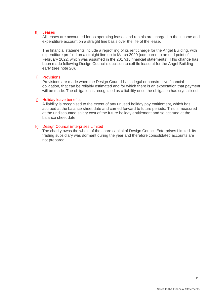#### h) Leases

All leases are accounted for as operating leases and rentals are charged to the income and expenditure account on a straight line basis over the life of the lease.

The financial statements include a reprofiling of its rent charge for the Angel Building, with expenditure profiled on a straight line up to March 2020 (compared to an end point of February 2022, which was assumed in the 2017/18 financial statements). This change has been made following Design Council's decision to exit its lease at for the Angel Building early (see note 20).

#### i) Provisions

Provisions are made when the Design Council has a legal or constructive financial obligation, that can be reliably estimated and for which there is an expectation that payment will be made. The obligation is recognised as a liability once the obligation has crystallised.

#### j) Holiday leave benefits

A liability is recognised to the extent of any unused holiday pay entitlement, which has accrued at the balance sheet date and carried forward to future periods. This is measured at the undiscounted salary cost of the future holiday entitlement and so accrued at the balance sheet date.

#### k) Design Council Enterprises Limited

The charity owns the whole of the share capital of Design Council Enterprises Limited. Its trading subsidiary was dormant during the year and therefore consolidated accounts are not prepared.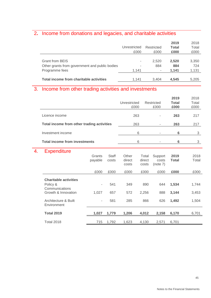## 2**.** Income from donations and legacies, and charitable activities

|                                                |              |            | 2019         | 2018  |
|------------------------------------------------|--------------|------------|--------------|-------|
|                                                | Unrestricted | Restricted | <b>Total</b> | Total |
|                                                | £000         | £000       | £000         | £000  |
|                                                |              |            |              |       |
| <b>Grant from BEIS</b>                         |              | 2,520      | 2,520        | 3,350 |
| Other grants from government and public bodies | ۰            | 884        | 884          | 724   |
| Programme fees                                 | 1.141        | ۰          | 1.141        | 1.131 |
|                                                |              |            |              |       |
| Total income from charitable activities        | 1.141        | 3.404      | 4.545        | 5.205 |

## 3. Income from other trading activities and investments

|                                            | Unrestricted<br>£000 | Restricted<br>£000 | 2019<br><b>Total</b><br>£000 | 2018<br>Total<br>£000 |
|--------------------------------------------|----------------------|--------------------|------------------------------|-----------------------|
| Licence income                             | 263                  |                    | 263                          | 217                   |
| Total income from other trading activities | 263                  |                    | 263                          | 217                   |
| Investment income                          | 6                    |                    | 6                            | 3                     |
| <b>Total income from investments</b>       | 6                    |                    | 6                            |                       |

## 4. Expenditure

| <u> Laponumu v</u>                                                                | Grants<br>payable | <b>Staff</b><br>costs | Other<br>direct<br>costs | Total<br>direct<br>costs | Support<br>costs<br>(note 7) | 2019<br><b>Total</b> | 2018<br>Total  |
|-----------------------------------------------------------------------------------|-------------------|-----------------------|--------------------------|--------------------------|------------------------------|----------------------|----------------|
|                                                                                   | £000              | £000                  | £000                     | £000                     | £000                         | £000                 | £000           |
| <b>Charitable activities</b><br>Policy &<br>Communications<br>Growth & Innovation | ٠<br>1,027        | 541<br>657            | 349<br>572               | 890<br>2,256             | 644<br>888                   | 1,534<br>3,144       | 1,744<br>3,453 |
| Architecture & Built<br>Environment                                               | ٠                 | 581                   | 285                      | 866                      | 626                          | 1,492                | 1,504          |
| <b>Total 2019</b>                                                                 | 1,027             | 1,779                 | 1,206                    | 4,012                    | 2,158                        | 6,170                | 6,701          |
| <b>Total 2018</b>                                                                 | 715               | 1,792                 | 1.623                    | 4.130                    | 2.571                        | 6,701                |                |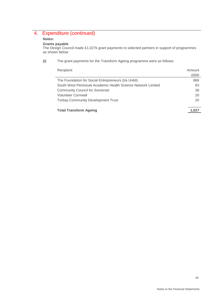## 4. Expenditure (continued)

#### **Notes:**

#### **Grants payable**

The Design Council made £1,027k grant payments to selected partners in support of programmes as shown below.

#### **(i)** The grant payments for the Transform Ageing programme were as follows:

| Recipient:                                                   | Amount |
|--------------------------------------------------------------|--------|
|                                                              | £000   |
| The Foundation for Social Entrepreneurs (t/a Unitd)          | 866    |
| South West Peninsula Academic Health Science Network Limited | 83     |
| <b>Community Council for Somerset</b>                        | 38     |
| <b>Volunteer Cornwall</b>                                    | 20     |
| <b>Torbay Community Development Trust</b>                    | 20     |
|                                                              |        |
| <b>Total Transform Ageing</b>                                |        |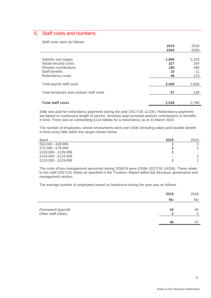## 5. Staff costs and numbers

Staff costs were as follows:

|                                          | 2019  | 2018  |
|------------------------------------------|-------|-------|
|                                          | £000  | £000  |
|                                          |       |       |
| Salaries and wages                       | 1,996 | 2,103 |
| Social security costs                    | 227   | 254   |
| Pension contributions                    | 180   | 180   |
| <b>Staff benefits</b>                    | 10    | 11    |
| Redundancy costs                         | 46    | 110   |
|                                          |       |       |
| Total payroll staff costs                | 2,459 | 2,658 |
|                                          |       |       |
| Total temporary and contract staff costs | 87    | 138   |
|                                          |       |       |
| <b>Total staff costs</b>                 | 2,546 | 2,796 |

£46k was paid for redundancy payments during the year (2017/18: £110k). Redundancy payments are based on continuous length of service. Amounts paid excluded pension contributions or benefits in kind. There was an outstanding £11k liability for a redundancy as at 31 March 2019.

The number of employees, whose emoluments were over £60k (including salary and taxable benefit in kind costs) falls within the ranges shown below.

| <b>Band</b>         | 2019 | 2018           |
|---------------------|------|----------------|
| £60,000 - £69,999   |      |                |
| £70,000 - £79,999   |      |                |
| £100,000 - £109,999 |      | $\blacksquare$ |
| £110,000 - £119,999 | ۰    |                |
| £120,000 - £129,999 |      |                |

The costs of key management personnel during 2018/19 were £259k (2017/18: £433k). These relate to two staff (2017/18: three) as specified in the Trustees' Report within the Structure, governance and management section.

The average number of employees based on headcount during the year was as follows:

|                                            | 2019      | 2018      |
|--------------------------------------------|-----------|-----------|
|                                            | <b>No</b> | <b>No</b> |
| Permanent (payroll)<br>Other staff (other) | 44        | 45<br>◠   |
|                                            | 46        | 4         |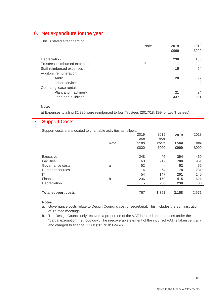## 6. Net expenditure for the year

This is stated after charging:

| <b>Note</b> | 2019 | 2018 |
|-------------|------|------|
|             | £000 | £000 |
|             |      |      |
|             | 238  | 100  |
| a           |      |      |
|             | 15   | 24   |
|             |      |      |
|             | 28   | 27   |
|             |      | 8    |
|             |      |      |
|             | 21   | 24   |
|             | 437  | 551  |
|             |      |      |

#### **Note:**

a) Expenses totalling £1,380 were reimbursed to four Trustees (2017/18: £99 for two Trustees).

## 7. Support Costs

Support costs are allocated to charitable activities as follows:

|                            |             | 2019         | 2019  | 2019         | 2018  |
|----------------------------|-------------|--------------|-------|--------------|-------|
|                            |             | <b>Staff</b> | Other |              |       |
|                            | <b>Note</b> | costs        | costs | <b>Total</b> | Total |
|                            |             | £000         | £000  | £000         | £000  |
|                            |             |              |       |              |       |
| Executive                  |             | 248          | 46    | 294          | 460   |
| <b>Facilities</b>          |             | 63           | 717   | 780          | 961   |
| Governance costs           | a           | 52           |       | 52           | 55    |
| Human resources            |             | 114          | 64    | 178          | 231   |
| IT                         |             | 54           | 147   | 201          | 140   |
| Finance                    | b           | 236          | 179   | 415          | 624   |
| Depreciation               |             | ٠            | 238   | 238          | 100   |
|                            |             |              |       |              |       |
| <b>Total support costs</b> |             | 767          | 1,391 | 2,158        | 2,571 |
|                            |             |              |       |              |       |

#### **Notes:**

- a. Governance costs relate to Design Council's cost of secretariat. This includes the administration of Trustee meetings.
- b. The Design Council only recovers a proportion of the VAT incurred on purchases under the "partial exemption methodology". The irrecoverable element of the incurred VAT is taken centrally and charged to finance £226k (2017/18: £245k).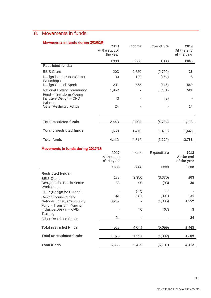## 8. Movements in funds

#### **Movements in funds during 2018/19**

|                                                       | 2018<br>At the start of<br>the year | Income | Expenditure | 2019<br>At the end<br>of the year |
|-------------------------------------------------------|-------------------------------------|--------|-------------|-----------------------------------|
|                                                       | £000                                | £000   | £000        | £000                              |
| <b>Restricted funds:</b>                              |                                     |        |             |                                   |
| <b>BEIS Grant</b>                                     | 203                                 | 2,520  | (2,700)     | 23                                |
| Design in the Public Sector<br>Workshops              | 30                                  | 129    | (154)       | 5                                 |
| Design Council Spark                                  | 231                                 | 755    | (446)       | 540                               |
| National Lottery Community<br>Fund - Transform Ageing | 1,952                               |        | (1,431)     | 521                               |
| Inclusive Design - CPD<br>training                    | 3                                   |        | (3)         |                                   |
| <b>Other Restricted Funds</b>                         | 24                                  |        |             | 24                                |
| <b>Total restricted funds</b>                         | 2,443                               | 3,404  | (4, 734)    | 1,113                             |
| <b>Total unrestricted funds</b>                       | 1,669                               | 1,410  | (1, 436)    | 1,643                             |
| <b>Total funds</b>                                    | 4,112                               | 4,814  | (6, 170)    | 2,756                             |
| Movements in funds during 2017/18                     |                                     |        |             |                                   |

|                                                              | 2017<br>At the start<br>of the year | Income | Expenditure | 2018<br>At the end<br>of the year |
|--------------------------------------------------------------|-------------------------------------|--------|-------------|-----------------------------------|
|                                                              | £000                                | £000   | £000        | £000                              |
| <b>Restricted funds:</b>                                     |                                     |        |             |                                   |
| <b>BEIS Grant</b>                                            | 183                                 | 3,350  | (3,330)     | 203                               |
| Design in the Public Sector<br>Workshops                     | 33                                  | 90     | (93)        | 30                                |
| EDIP (Design for Europe)                                     |                                     | (17)   | 17          |                                   |
| Design Council Spark                                         | 541                                 | 581    | (891)       | 231                               |
| <b>National Lottery Community</b><br>Fund - Transform Ageing | 3,287                               |        | (1, 335)    | 1,952                             |
| Inclusive Design - CPD<br>Training                           |                                     | 70     | (67)        | 3                                 |
| <b>Other Restricted Funds</b>                                | 24                                  |        |             | 24                                |
| <b>Total restricted funds</b>                                | 4,068                               | 4,074  | (5,699)     | 2,443                             |
| <b>Total unrestricted funds</b>                              | 1,320                               | 1,351  | (1,002)     | 1,669                             |
| <b>Total funds</b>                                           | 5,388                               | 5,425  | (6, 701)    | 4,112                             |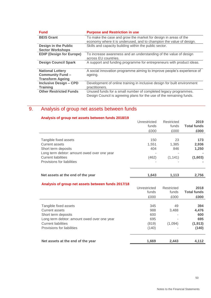| <b>Fund</b>                                                                   | <b>Purpose and Restriction in use</b>                                                                                                   |
|-------------------------------------------------------------------------------|-----------------------------------------------------------------------------------------------------------------------------------------|
| <b>BEIS Grant</b>                                                             | To make the case and grow the market for design in areas of the<br>economy where it is underused, and to champion the value of design.  |
| <b>Design in the Public</b><br><b>Sector Workshops</b>                        | Skills and capacity building within the public sector.                                                                                  |
| <b>EDIP (Design for Europe)</b>                                               | To increase awareness and an understanding of the value of design<br>across EU countries.                                               |
| <b>Design Council Spark</b>                                                   | A support and funding programme for entrepreneurs with product ideas.                                                                   |
| <b>National Lottery</b><br><b>Community Fund -</b><br><b>Transform Ageing</b> | A social innovation programme aiming to improve people's experience of<br>ageing.                                                       |
| <b>Inclusive Design - CPD</b><br><b>Training</b>                              | Development of online training in inclusive design for built environment<br>practitioners.                                              |
| <b>Other Restricted Funds</b>                                                 | Unused funds for a small number of completed legacy programmes.<br>Design Council is agreeing plans for the use of the remaining funds. |

## 9. Analysis of group net assets between funds

| Analysis of group net assets between funds 2018/19       |                |            |                                |
|----------------------------------------------------------|----------------|------------|--------------------------------|
|                                                          | Unrestricted   | Restricted | 2019                           |
|                                                          | funds          | funds      | <b>Total funds</b>             |
|                                                          | £000           | £000       | £000                           |
|                                                          |                |            |                                |
| Tangible fixed assets                                    | 150            | 23         | 173                            |
| <b>Current assets</b>                                    | 1,551          | 1,385      | 2,936                          |
| Short term deposits                                      | 404            | 846        | 1,250                          |
| Long term debtor: amount owed over one year              |                |            |                                |
| <b>Current liabilities</b>                               | (462)          | (1, 141)   | (1,603)                        |
| Provisions for liabilities                               |                |            |                                |
|                                                          |                |            |                                |
| Net assets at the end of the year                        | 1,643          | 1,113      | 2,756                          |
|                                                          |                |            |                                |
| Analysis of group net assets between funds 2017/18       |                |            |                                |
|                                                          | Unrestricted   | Restricted | 2018                           |
|                                                          | funds          | funds      | <b>Total funds</b>             |
|                                                          | £000           | £000       | £000                           |
|                                                          |                |            |                                |
| Tangible fixed assets                                    | 345            | 49         | 394                            |
| <b>Current assets</b>                                    | 988            | 3,488      | 4,476                          |
| Short term deposits                                      | 600            |            | 600                            |
| Long term debtor: amount owed over one year              | 695            |            | 695                            |
|                                                          |                |            |                                |
| <b>Current liabilities</b><br>Droviniana far liabilitiaa | (819)<br>(110) | (1,094)    | (1, 913)<br>(4A <sub>0</sub> ) |

| Short term deposits                         | 600   |                | 600      |
|---------------------------------------------|-------|----------------|----------|
| Long term debtor: amount owed over one year | 695   | $\blacksquare$ | 695      |
| <b>Current liabilities</b>                  | (819) | (1.094)        | (1, 913) |
| Provisions for liabilities                  | (140) |                | (140)    |
|                                             |       |                |          |

| Net assets at the end of the year | 1.669 | 2.443 | 4.112 |
|-----------------------------------|-------|-------|-------|
|                                   |       |       |       |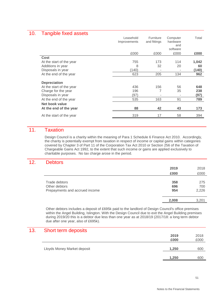### 10. Tangible fixed assets

| − יש                     | Leasehold<br>Improvements | Furniture<br>and fittings | Computer<br>hardware<br>and<br>software | Total |
|--------------------------|---------------------------|---------------------------|-----------------------------------------|-------|
|                          | £000                      | £000                      | £000                                    | £000  |
| <b>Cost</b>              |                           |                           |                                         |       |
| At the start of the year | 755                       | 173                       | 114                                     | 1,042 |
| Additions in year        | 8                         | 32                        | 20                                      | 60    |
| Disposals in year        | (140)                     |                           |                                         | (140) |
| At the end of the year   | 623                       | 205                       | 134                                     | 962   |
| <b>Depreciation</b>      |                           |                           |                                         |       |
| At the start of the year | 436                       | 156                       | 56                                      | 648   |
| Charge for the year      | 196                       | 7                         | 35                                      | 238   |
| Disposals in year        | (97)                      |                           |                                         | (97)  |
| At the end of the year   | 535                       | 163                       | 91                                      | 789   |
| Net book value           |                           |                           |                                         |       |
| At the end of the year   | 88                        | 42                        | 43                                      | 173   |
| At the start of the year | 319                       | 17                        | 58                                      | 394   |
|                          |                           |                           |                                         |       |

## 11. Taxation

Design Council is a charity within the meaning of Para 1 Schedule 6 Finance Act 2010. Accordingly, the charity is potentially exempt from taxation in respect of income or capital gains within categories covered by Chapter 3 of Part 11 of the Corporation Tax Act 2010 or Section 256 of the Taxation of Chargeable Gains Act 1992, to the extent that such income or gains are applied exclusively to charitable purposes. No tax charge arose in the period.

### 12. Debtors

|                                | 2019              | 2018                |
|--------------------------------|-------------------|---------------------|
|                                | £000              | £000                |
| Trade debtors<br>Other debtors | 358<br>696<br>954 | 275<br>700<br>2,226 |
| Prepayments and accrued income |                   |                     |
|                                | 2,008             | 3,201               |

Other debtors includes a deposit of £695k paid to the landlord of Design Council's office premises within the Angel Building, Islington. With the Design Council due to exit the Angel Building premises during 2019/20 this is a debtor due less than one year as at 2018/19 (2017/18: a long term debtor due after one year, also of £695k).

### 13. Short term deposits

|                             | 2019  | 2018 |
|-----------------------------|-------|------|
|                             | £000  | £000 |
|                             |       |      |
| Lloyds Money Market deposit | 1,250 | 600  |
|                             |       |      |
|                             | 1,250 | 600  |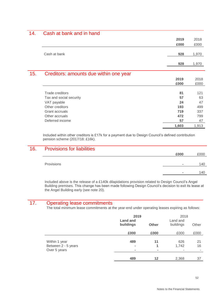## 14. Cash at bank and in hand

|     |                                        | 2019  | 2018  |
|-----|----------------------------------------|-------|-------|
|     |                                        | £000  | £000  |
|     | Cash at bank                           | 928   | 1,970 |
|     |                                        | 928   | 1,970 |
| 15. | Creditors: amounts due within one year |       |       |
|     |                                        | 2019  | 2018  |
|     |                                        | £000  | £000  |
|     |                                        |       |       |
|     | <b>Trade creditors</b>                 | 81    | 121   |
|     | Tax and social security                | 57    | 63    |
|     | VAT payable                            | 24    | 47    |
|     | Other creditors                        | 193   | 499   |
|     | Grant accruals                         | 719   | 337   |
|     | Other accruals                         | 472   | 799   |
|     | Deferred income                        | 57    | 47    |
|     |                                        | 1,603 | 1,913 |

Included within other creditors is £17k for a payment due to Design Council's defined contribution pension scheme (2017/18: £16k).

### 16. Provisions for liabilities

|            | £000           | £000 |
|------------|----------------|------|
|            |                |      |
| Provisions | ۰              | 40   |
|            |                |      |
|            | $\blacksquare$ | 140  |
|            |                |      |

Included above is the release of a £140k dilapidations provision related to Design Council's Angel Building premises. This change has been made following Design Council's decision to exit its lease at the Angel Building early (see note 20).

### 17. Operating lease commitments

The total minimum lease commitments at the year-end under operating leases expiring as follows:

|                                                      | 2019<br><b>Land and</b><br>buildings    | <b>Other</b>              | 2018<br>Land and<br>buildings  | Other                                |
|------------------------------------------------------|-----------------------------------------|---------------------------|--------------------------------|--------------------------------------|
|                                                      | £000                                    | £000                      | £000                           | £000                                 |
| Within 1 year<br>Between 2 - 5 years<br>Over 5 years | 489<br>$\blacksquare$<br>$\blacksquare$ | 11<br>1<br>$\blacksquare$ | 626<br>1,742<br>$\blacksquare$ | 21<br>16<br>$\overline{\phantom{a}}$ |
|                                                      | 489                                     | 12                        | 2,368                          | 37                                   |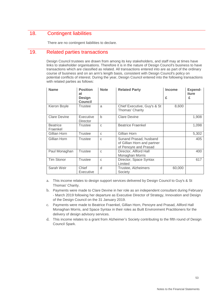## 18. Contingent liabilities

There are no contingent liabilities to declare.

### 19. Related parties transactions

Design Council trustees are drawn from among its key stakeholders, and staff may at times have links to stakeholder organisations. Therefore it is in the nature of Design Council's business to have transactions which are classified as related. All transactions entered into are as part of the ordinary course of business and on an arm's length basis, consistent with Design Council's policy on potential conflicts of interest. During the year, Design Council entered into the following transactions with related parties as follows:

| <b>Name</b>                 | <b>Position</b><br>at<br><b>Design</b><br><b>Council</b> | <b>Note</b>  | <b>Related Party</b>                                                           | <b>Income</b><br>£ | Expend-<br>iture<br>£ |
|-----------------------------|----------------------------------------------------------|--------------|--------------------------------------------------------------------------------|--------------------|-----------------------|
| Kieron Boyle                | Trustee                                                  | a            | Chief Executive, Guy's & St<br>Thomas' Charity                                 | 8,600              |                       |
| <b>Clare Devine</b>         | Executive<br><b>Director</b>                             | $\mathsf{b}$ | <b>Clare Devine</b>                                                            |                    | 1,908                 |
| <b>Beatrice</b><br>Fraenkel | Trustee                                                  | C            | <b>Beatrice Fraenkel</b>                                                       |                    | 1,098                 |
| Gillian Horn                | <b>Trustee</b>                                           | $\mathsf{C}$ | Gillian Horn                                                                   |                    | 5,302                 |
| Gillian Horn                | <b>Trustee</b>                                           | C            | Sunand Prasad, husband<br>of Gillian Horn and partner<br>of Penoyre and Prasad |                    | 405                   |
| Paul Monaghan               | Trustee                                                  | C            | Director, Allford Hall<br>Monaghan Morris                                      |                    | 400                   |
| <b>Tim Stonor</b>           | Trustee                                                  | C            | Director, Space Syntax<br>Limited                                              |                    | 617                   |
| Sarah Weir                  | Chief<br>Executive                                       | d            | Trustee, Alzheimers<br>Society                                                 | 60,000             |                       |

a. This income relates to design support services delivered by Design Council to Guy's & St Thomas' Charity.

- b. Payments were made to Clare Devine in her role as an independent consultant during February - March 2019 following her departure as Executive Director of Strategy, Innovation and Design of the Design Council on the 31 January 2019.
- c. Payments were made to Beatrice Fraenkel, Gillian Horn, Penoyre and Prasad, Allford Hall Monaghan Morris, and Space Syntax in their roles as Built Environment Practitioners for the delivery of design advisory services.
- d. This income relates to a grant from Alzheimer's Society contributing to the fifth round of Design Council Spark.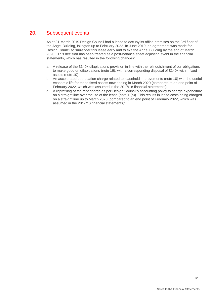## 20. Subsequent events

As at 31 March 2019 Design Council had a lease to occupy its office premises on the 3rd floor of the Angel Building, Islington up to February 2022. In June 2019, an agreement was made for Design Council to surrender this lease early and to exit the Angel Building by the end of March 2020. This decision has been treated as a post-balance sheet adjusting event in the financial statements, which has resulted in the following changes:

- a. A release of the £140k dilapidations provision in line with the relinquishment of our obligations to make good on dilapidations (note 16), with a corresponding disposal of £140k within fixed assets (note 10)
- b. An accelerated deprecation charge related to leasehold improvements (note 10) with the useful economic life for these fixed assets now ending in March 2020 (compared to an end point of February 2022, which was assumed in the 2017/18 financial statements)
- c. A reprofiling of the rent charge as per Design Council's accounting policy to charge expenditure on a straight line over the life of the lease (note 1 (h)). This results in lease costs being charged on a straight line up to March 2020 (compared to an end point of February 2022, which was assumed in the 2017/18 financial statements)"